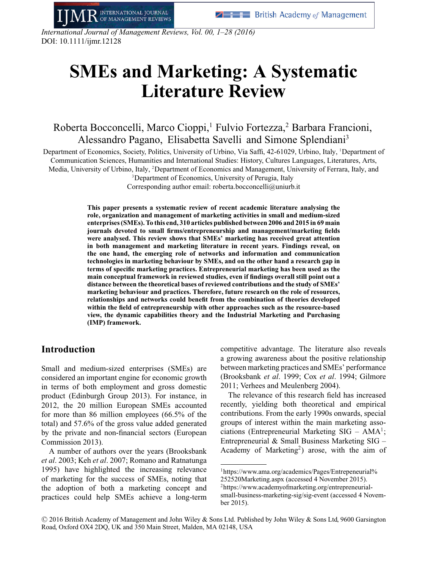*International Journal of Management Reviews, Vol. 00, 1–28 (2016)* DOI: 10.1111/ijmr.12128

INTERNATIONAL JOURNAL

**MANAGEMENT REVIEWS** 

# **SMEs and Marketing: A Systematic Literature Review**

Roberta Bocconcelli, Marco Cioppi,<sup>1</sup> Fulvio Fortezza,<sup>2</sup> Barbara Francioni, Alessandro Pagano, Elisabetta Savelli and Simone Splendiani3

Department of Economics, Society, Politics, University of Urbino, Via Saffi, 42-61029, Urbino, Italy, <sup>1</sup> Department of Communication Sciences, Humanities and International Studies: History, Cultures Languages, Literatures, Arts, Media, University of Urbino, Italy, <sup>2</sup> Department of Economics and Management, University of Ferrara, Italy, and

> <sup>3</sup>Department of Economics, University of Perugia, Italy Corresponding author email: roberta.bocconcelli@uniurb.it

**This paper presents a systematic review of recent academic literature analysing the role, organization and management of marketing activities in small and medium-sized enterprises (SMEs). To this end, 310 articles published between 2006 and 2015 in 69 main journals devoted to small firms/entrepreneurship and management/marketing fields were analysed. This review shows that SMEs' marketing has received great attention in both management and marketing literature in recent years. Findings reveal, on the one hand, the emerging role of networks and information and communication technologies in marketing behaviour by SMEs, and on the other hand a research gap in terms of specific marketing practices. Entrepreneurial marketing has been used as the main conceptual framework in reviewed studies, even if findings overall still point out a distance between the theoretical bases of reviewed contributions and the study of SMEs' marketing behaviour and practices. Therefore, future research on the role of resources, relationships and networks could benefit from the combination of theories developed within the field of entrepreneurship with other approaches such as the resource-based view, the dynamic capabilities theory and the Industrial Marketing and Purchasing (IMP) framework.**

## **Introduction**

Small and medium-sized enterprises (SMEs) are considered an important engine for economic growth in terms of both employment and gross domestic product (Edinburgh Group 2013). For instance, in 2012, the 20 million European SMEs accounted for more than 86 million employees (66.5% of the total) and 57.6% of the gross value added generated by the private and non-financial sectors (European Commission 2013).

A number of authors over the years (Brooksbank *et al*. 2003; Keh *et al*. 2007; Romano and Ratnatunga 1995) have highlighted the increasing relevance of marketing for the success of SMEs, noting that the adoption of both a marketing concept and practices could help SMEs achieve a long-term competitive advantage. The literature also reveals a growing awareness about the positive relationship between marketing practices and SMEs' performance (Brooksbank *et al*. 1999; Cox *et al*. 1994; Gilmore 2011; Verhees and Meulenberg 2004).

The relevance of this research field has increased recently, yielding both theoretical and empirical contributions. From the early 1990s onwards, special groups of interest within the main marketing associations (Entrepreneurial Marketing  $SIG - AMA^1$ ; Entrepreneurial & Small Business Marketing SIG – Academy of Marketing<sup>2</sup>) arose, with the aim of

[<sup>1</sup>https://www.ama.org/academics/Pages/Entrepeneurial%](https://www.ama.org/academics/Pages/Entrepeneurial%252520Marketing.aspx) [252520Marketing.aspx](https://www.ama.org/academics/Pages/Entrepeneurial%252520Marketing.aspx) (accessed 4 November 2015). [2https://www.academyofmarketing.org/entrepreneurial](https://www.academyofmarketing.org/entrepreneurial-small-business-marketing-sig/sig-event)[small-business-marketing-sig/sig-event](https://www.academyofmarketing.org/entrepreneurial-small-business-marketing-sig/sig-event) (accessed 4 November 2015).

<sup>-</sup>C 2016 British Academy of Management and John Wiley & Sons Ltd. Published by John Wiley & Sons Ltd, 9600 Garsington Road, Oxford OX4 2DQ, UK and 350 Main Street, Malden, MA 02148, USA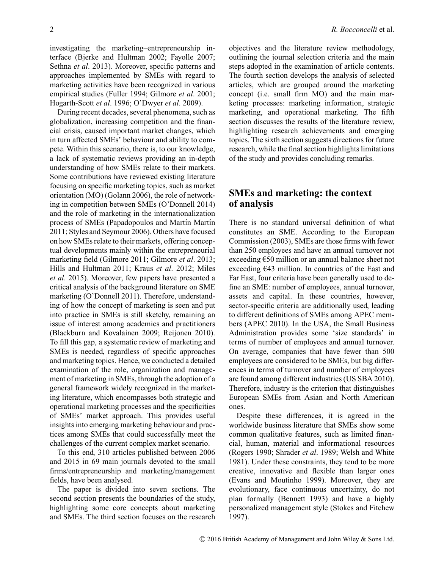investigating the marketing–entrepreneurship interface (Bjerke and Hultman 2002; Fayolle 2007; Sethna *et al*. 2013). Moreover, specific patterns and approaches implemented by SMEs with regard to marketing activities have been recognized in various empirical studies (Fuller 1994; Gilmore *et al*. 2001; Hogarth-Scott *et al*. 1996; O'Dwyer *et al*. 2009).

During recent decades, several phenomena, such as globalization, increasing competition and the financial crisis, caused important market changes, which in turn affected SMEs' behaviour and ability to compete. Within this scenario, there is, to our knowledge, a lack of systematic reviews providing an in-depth understanding of how SMEs relate to their markets. Some contributions have reviewed existing literature focusing on specific marketing topics, such as market orientation (MO) (Golann 2006), the role of networking in competition between SMEs (O'Donnell 2014) and the role of marketing in the internationalization process of SMEs (Papadopoulos and Martín Martín 2011; Styles and Seymour 2006). Others have focused on how SMEs relate to their markets, offering conceptual developments mainly within the entrepreneurial marketing field (Gilmore 2011; Gilmore *et al*. 2013; Hills and Hultman 2011; Kraus *et al*. 2012; Miles *et al*. 2015). Moreover, few papers have presented a critical analysis of the background literature on SME marketing (O'Donnell 2011). Therefore, understanding of how the concept of marketing is seen and put into practice in SMEs is still sketchy, remaining an issue of interest among academics and practitioners (Blackburn and Kovalainen 2009; Reijonen 2010). To fill this gap, a systematic review of marketing and SMEs is needed, regardless of specific approaches and marketing topics. Hence, we conducted a detailed examination of the role, organization and management of marketing in SMEs, through the adoption of a general framework widely recognized in the marketing literature, which encompasses both strategic and operational marketing processes and the specificities of SMEs' market approach. This provides useful insights into emerging marketing behaviour and practices among SMEs that could successfully meet the challenges of the current complex market scenario.

To this end, 310 articles published between 2006 and 2015 in 69 main journals devoted to the small firms/entrepreneurship and marketing/management fields, have been analysed.

The paper is divided into seven sections. The second section presents the boundaries of the study, highlighting some core concepts about marketing and SMEs. The third section focuses on the research objectives and the literature review methodology, outlining the journal selection criteria and the main steps adopted in the examination of article contents. The fourth section develops the analysis of selected articles, which are grouped around the marketing concept (i.e. small firm MO) and the main marketing processes: marketing information, strategic marketing, and operational marketing. The fifth section discusses the results of the literature review, highlighting research achievements and emerging topics. The sixth section suggests directions for future research, while the final section highlights limitations of the study and provides concluding remarks.

# **SMEs and marketing: the context of analysis**

There is no standard universal definition of what constitutes an SME. According to the European Commission (2003), SMEs are those firms with fewer than 250 employees and have an annual turnover not exceeding €50 million or an annual balance sheet not exceeding  $E$ 43 million. In countries of the East and Far East, four criteria have been generally used to define an SME: number of employees, annual turnover, assets and capital. In these countries, however, sector-specific criteria are additionally used, leading to different definitions of SMEs among APEC members (APEC 2010). In the USA, the Small Business Administration provides some 'size standards' in terms of number of employees and annual turnover. On average, companies that have fewer than 500 employees are considered to be SMEs, but big differences in terms of turnover and number of employees are found among different industries (US SBA 2010). Therefore, industry is the criterion that distinguishes European SMEs from Asian and North American ones.

Despite these differences, it is agreed in the worldwide business literature that SMEs show some common qualitative features, such as limited financial, human, material and informational resources (Rogers 1990; Shrader *et al*. 1989; Welsh and White 1981). Under these constraints, they tend to be more creative, innovative and flexible than larger ones (Evans and Moutinho 1999). Moreover, they are evolutionary, face continuous uncertainty, do not plan formally (Bennett 1993) and have a highly personalized management style (Stokes and Fitchew 1997).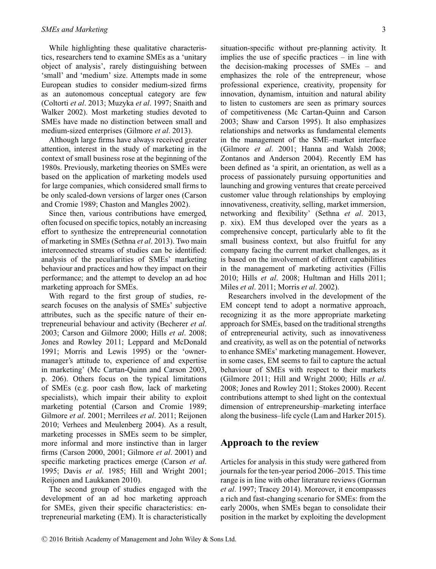While highlighting these qualitative characteristics, researchers tend to examine SMEs as a 'unitary object of analysis', rarely distinguishing between 'small' and 'medium' size. Attempts made in some European studies to consider medium-sized firms as an autonomous conceptual category are few (Coltorti *et al*. 2013; Muzyka *et al*. 1997; Snaith and Walker 2002). Most marketing studies devoted to SMEs have made no distinction between small and medium-sized enterprises (Gilmore *et al*. 2013).

Although large firms have always received greater attention, interest in the study of marketing in the context of small business rose at the beginning of the 1980s. Previously, marketing theories on SMEs were based on the application of marketing models used for large companies, which considered small firms to be only scaled-down versions of larger ones (Carson and Cromie 1989; Chaston and Mangles 2002).

Since then, various contributions have emerged, often focused on specific topics, notably an increasing effort to synthesize the entrepreneurial connotation of marketing in SMEs (Sethna *et al*. 2013). Two main interconnected streams of studies can be identified: analysis of the peculiarities of SMEs' marketing behaviour and practices and how they impact on their performance; and the attempt to develop an ad hoc marketing approach for SMEs.

With regard to the first group of studies, research focuses on the analysis of SMEs' subjective attributes, such as the specific nature of their entrepreneurial behaviour and activity (Becherer *et al*. 2003; Carson and Gilmore 2000; Hills *et al*. 2008; Jones and Rowley 2011; Leppard and McDonald 1991; Morris and Lewis 1995) or the 'ownermanager's attitude to, experience of and expertise in marketing' (Mc Cartan-Quinn and Carson 2003, p. 206). Others focus on the typical limitations of SMEs (e.g. poor cash flow, lack of marketing specialists), which impair their ability to exploit marketing potential (Carson and Cromie 1989; Gilmore *et al*. 2001; Merrilees *et al*. 2011; Reijonen 2010; Verhees and Meulenberg 2004). As a result, marketing processes in SMEs seem to be simpler, more informal and more instinctive than in larger firms (Carson 2000, 2001; Gilmore *et al*. 2001) and specific marketing practices emerge (Carson *et al*. 1995; Davis *et al*. 1985; Hill and Wright 2001; Reijonen and Laukkanen 2010).

The second group of studies engaged with the development of an ad hoc marketing approach for SMEs, given their specific characteristics: entrepreneurial marketing (EM). It is characteristically

situation-specific without pre-planning activity. It implies the use of specific practices – in line with the decision-making processes of SMEs – and emphasizes the role of the entrepreneur, whose professional experience, creativity, propensity for innovation, dynamism, intuition and natural ability to listen to customers are seen as primary sources of competitiveness (Mc Cartan-Quinn and Carson 2003; Shaw and Carson 1995). It also emphasizes relationships and networks as fundamental elements in the management of the SME–market interface (Gilmore *et al*. 2001; Hanna and Walsh 2008; Zontanos and Anderson 2004). Recently EM has been defined as 'a spirit, an orientation, as well as a process of passionately pursuing opportunities and launching and growing ventures that create perceived customer value through relationships by employing innovativeness, creativity, selling, market immersion, networking and flexibility' (Sethna *et al*. 2013, p. xix). EM thus developed over the years as a comprehensive concept, particularly able to fit the small business context, but also fruitful for any company facing the current market challenges, as it is based on the involvement of different capabilities in the management of marketing activities (Fillis 2010; Hills *et al*. 2008; Hultman and Hills 2011; Miles *et al*. 2011; Morris *et al*. 2002).

Researchers involved in the development of the EM concept tend to adopt a normative approach, recognizing it as the more appropriate marketing approach for SMEs, based on the traditional strengths of entrepreneurial activity, such as innovativeness and creativity, as well as on the potential of networks to enhance SMEs' marketing management. However, in some cases, EM seems to fail to capture the actual behaviour of SMEs with respect to their markets (Gilmore 2011; Hill and Wright 2000; Hills *et al*. 2008; Jones and Rowley 2011; Stokes 2000). Recent contributions attempt to shed light on the contextual dimension of entrepreneurship–marketing interface along the business–life cycle (Lam and Harker 2015).

## **Approach to the review**

Articles for analysis in this study were gathered from journals for the ten-year period 2006–2015. This time range is in line with other literature reviews (Gorman *et al*. 1997; Tracey 2014). Moreover, it encompasses a rich and fast-changing scenario for SMEs: from the early 2000s, when SMEs began to consolidate their position in the market by exploiting the development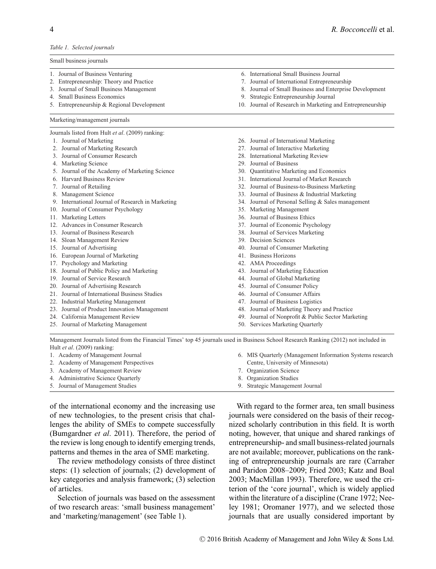#### *Table 1. Selected journals*

Small business journals

- 1. Journal of Business Venturing
- 2. Entrepreneurship: Theory and Practice
- 3. Journal of Small Business Management
- 4. Small Business Economics
- 5. Entrepreneurship & Regional Development

#### Marketing/management journals

Journals listed from Hult *et al*. (2009) ranking:

- 1. Journal of Marketing
- 2. Journal of Marketing Research
- 3. Journal of Consumer Research
- 4. Marketing Science
- 5. Journal of the Academy of Marketing Science
- 6. Harvard Business Review
- 7. Journal of Retailing
- 8. Management Science
- 9. International Journal of Research in Marketing
- 10. Journal of Consumer Psychology
- 11. Marketing Letters
- 12. Advances in Consumer Research
- 13. Journal of Business Research
- 14. Sloan Management Review
- 15. Journal of Advertising
- 16. European Journal of Marketing
- 17. Psychology and Marketing
- 18. Journal of Public Policy and Marketing
- 19. Journal of Service Research
- 20. Journal of Advertising Research
- 21. Journal of International Business Studies
- 22. Industrial Marketing Management
- 23. Journal of Product Innovation Management
- 24. California Management Review
- 25. Journal of Marketing Management
- 6. International Small Business Journal
- 7. Journal of International Entrepreneurship
- 8. Journal of Small Business and Enterprise Development
- 9. Strategic Entrepreneurship Journal
- 10. Journal of Research in Marketing and Entrepreneurship
- 26. Journal of International Marketing
- 27. Journal of Interactive Marketing
- 28. International Marketing Review
- 29. Journal of Business
- 30. Quantitative Marketing and Economics
- 31. International Journal of Market Research
- 32. Journal of Business-to-Business Marketing
- 33. Journal of Business & Industrial Marketing
- 34. Journal of Personal Selling & Sales management
- 35. Marketing Management
- 36. Journal of Business Ethics
- 37. Journal of Economic Psychology
- 38. Journal of Services Marketing
- 39. Decision Sciences
- 40. Journal of Consumer Marketing
- 41. Business Horizons
- 42. AMA Proceedings
- 43. Journal of Marketing Education
- 44. Journal of Global Marketing
- 45. Journal of Consumer Policy
- 46. Journal of Consumer Affairs
- 47. Journal of Business Logistics
- 48. Journal of Marketing Theory and Practice
- 49. Journal of Nonprofit & Public Sector Marketing

6. MIS Quarterly (Management Information Systems research

50. Services Marketing Quarterly

Centre, University of Minnesota)

7. Organization Science 8. Organization Studies 9. Strategic Management Journal

Management Journals listed from the Financial Times' top 45 journals used in Business School Research Ranking (2012) not included in Hult *et al*. (2009) ranking:

| 1. Academy of Management Journal      |
|---------------------------------------|
| 2. Academy of Management Perspectives |

- 
- 3. Academy of Management Review 4. Administrative Science Quarterly
- 

5. Journal of Management Studies

of the international economy and the increasing use of new technologies, to the present crisis that challenges the ability of SMEs to compete successfully (Bumgardner *et al*. 2011). Therefore, the period of the review is long enough to identify emerging trends, patterns and themes in the area of SME marketing.

The review methodology consists of three distinct steps: (1) selection of journals; (2) development of key categories and analysis framework; (3) selection of articles.

Selection of journals was based on the assessment of two research areas: 'small business management' and 'marketing/management' (see Table 1).

With regard to the former area, ten small business journals were considered on the basis of their recognized scholarly contribution in this field. It is worth noting, however, that unique and shared rankings of entrepreneurship- and small business-related journals are not available; moreover, publications on the ranking of entrepreneurship journals are rare (Carraher and Paridon 2008–2009; Fried 2003; Katz and Boal 2003; MacMillan 1993). Therefore, we used the criterion of the 'core journal', which is widely applied within the literature of a discipline (Crane 1972; Neeley 1981; Oromaner 1977), and we selected those journals that are usually considered important by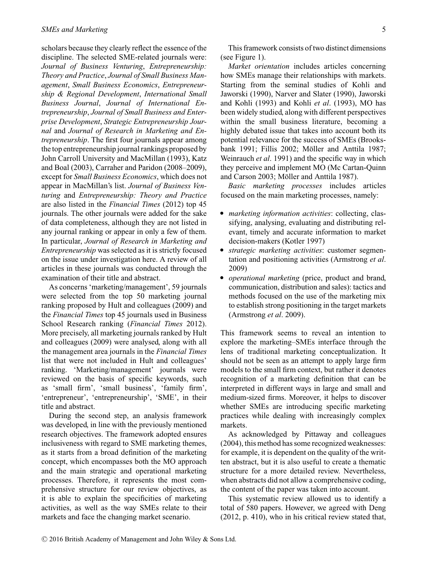scholars because they clearly reflect the essence of the discipline. The selected SME-related journals were: *Journal of Business Venturing*, *Entrepreneurship: Theory and Practice*, *Journal of Small Business Management*, *Small Business Economics*, *Entrepreneurship & Regional Development*, *International Small Business Journal*, *Journal of International Entrepreneurship*, *Journal of Small Business and Enterprise Development*, *Strategic Entrepreneurship Journal* and *Journal of Research in Marketing and Entrepreneurship*. The first four journals appear among the top entrepreneurship journal rankings proposed by John Carroll University and MacMillan (1993), Katz and Boal (2003), Carraher and Paridon (2008–2009), except for *Small Business Economics*, which does not appear in MacMillan's list. *Journal of Business Venturing* and *Entrepreneurship: Theory and Practice* are also listed in the *Financial Times* (2012) top 45 journals. The other journals were added for the sake of data completeness, although they are not listed in any journal ranking or appear in only a few of them. In particular, *Journal of Research in Marketing and Entrepreneurship* was selected as it is strictly focused on the issue under investigation here. A review of all articles in these journals was conducted through the examination of their title and abstract.

As concerns 'marketing/management', 59 journals were selected from the top 50 marketing journal ranking proposed by Hult and colleagues (2009) and the *Financial Times* top 45 journals used in Business School Research ranking (*Financial Times* 2012). More precisely, all marketing journals ranked by Hult and colleagues (2009) were analysed, along with all the management area journals in the *Financial Times* list that were not included in Hult and colleagues' ranking. 'Marketing/management' journals were reviewed on the basis of specific keywords, such as 'small firm', 'small business', 'family firm', 'entrepreneur', 'entrepreneurship', 'SME', in their title and abstract.

During the second step, an analysis framework was developed, in line with the previously mentioned research objectives. The framework adopted ensures inclusiveness with regard to SME marketing themes, as it starts from a broad definition of the marketing concept, which encompasses both the MO approach and the main strategic and operational marketing processes. Therefore, it represents the most comprehensive structure for our review objectives, as it is able to explain the specificities of marketing activities, as well as the way SMEs relate to their markets and face the changing market scenario.

*Market orientation* includes articles concerning how SMEs manage their relationships with markets. Starting from the seminal studies of Kohli and Jaworski (1990), Narver and Slater (1990), Jaworski and Kohli (1993) and Kohli *et al*. (1993), MO has been widely studied, along with different perspectives within the small business literature, becoming a highly debated issue that takes into account both its potential relevance for the success of SMEs (Brooksbank 1991; Fillis 2002; Möller and Anttila 1987; Weinrauch *et al*. 1991) and the specific way in which they perceive and implement MO (Mc Cartan-Quinn and Carson 2003; Möller and Anttila 1987).

*Basic marketing processes* includes articles focused on the main marketing processes, namely:

- *marketing information activities*: collecting, classifying, analysing, evaluating and distributing relevant, timely and accurate information to market
- decision-makers (Kotler 1997)<br> **S** *strategic marketing activities*: customer segmentation and positioning activities (Armstrong *et al*.
- 2009) *operational marketing* (price, product and brand, communication, distribution and sales): tactics and methods focused on the use of the marketing mix to establish strong positioning in the target markets (Armstrong *et al*. 2009).

This framework seems to reveal an intention to explore the marketing–SMEs interface through the lens of traditional marketing conceptualization. It should not be seen as an attempt to apply large firm models to the small firm context, but rather it denotes recognition of a marketing definition that can be interpreted in different ways in large and small and medium-sized firms. Moreover, it helps to discover whether SMEs are introducing specific marketing practices while dealing with increasingly complex markets.

As acknowledged by Pittaway and colleagues (2004), this method has some recognized weaknesses: for example, it is dependent on the quality of the written abstract, but it is also useful to create a thematic structure for a more detailed review. Nevertheless, when abstracts did not allow a comprehensive coding, the content of the paper was taken into account.

This systematic review allowed us to identify a total of 580 papers. However, we agreed with Deng (2012, p. 410), who in his critical review stated that,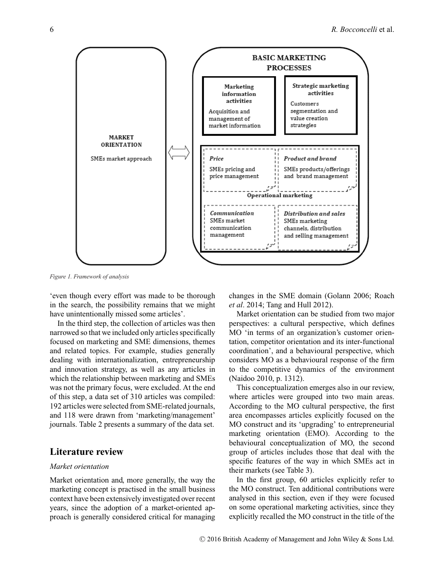

*Figure 1. Framework of analysis*

'even though every effort was made to be thorough in the search, the possibility remains that we might have unintentionally missed some articles'.

In the third step, the collection of articles was then narrowed so that we included only articles specifically focused on marketing and SME dimensions, themes and related topics. For example, studies generally dealing with internationalization, entrepreneurship and innovation strategy, as well as any articles in which the relationship between marketing and SMEs was not the primary focus, were excluded. At the end of this step, a data set of 310 articles was compiled: 192 articles were selected from SME-related journals, and 118 were drawn from 'marketing/management' journals. Table 2 presents a summary of the data set.

# **Literature review**

## *Market orientation*

Market orientation and, more generally, the way the marketing concept is practised in the small business context have been extensively investigated over recent years, since the adoption of a market-oriented approach is generally considered critical for managing changes in the SME domain (Golann 2006; Roach *et al*. 2014; Tang and Hull 2012).

Market orientation can be studied from two major perspectives: a cultural perspective, which defines MO 'in terms of an organization's customer orientation, competitor orientation and its inter-functional coordination', and a behavioural perspective, which considers MO as a behavioural response of the firm to the competitive dynamics of the environment (Naidoo 2010, p. 1312).

This conceptualization emerges also in our review, where articles were grouped into two main areas. According to the MO cultural perspective, the first area encompasses articles explicitly focused on the MO construct and its 'upgrading' to entrepreneurial marketing orientation (EMO). According to the behavioural conceptualization of MO, the second group of articles includes those that deal with the specific features of the way in which SMEs act in their markets (see Table 3).

In the first group, 60 articles explicitly refer to the MO construct. Ten additional contributions were analysed in this section, even if they were focused on some operational marketing activities, since they explicitly recalled the MO construct in the title of the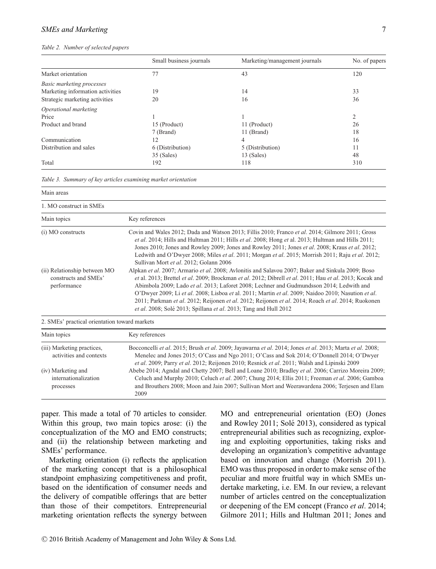## *SMEs and Marketing* 7

#### *Table 2. Number of selected papers*

|                                  | Small business journals | Marketing/management journals | No. of papers  |
|----------------------------------|-------------------------|-------------------------------|----------------|
| Market orientation               | 77                      | 43                            | 120            |
| <b>Basic marketing processes</b> |                         |                               |                |
| Marketing information activities | 19                      | 14                            | 33             |
| Strategic marketing activities   | 20                      | 16                            | 36             |
| Operational marketing            |                         |                               |                |
| Price                            |                         |                               | $\overline{2}$ |
| Product and brand                | 15 (Product)            | 11 (Product)                  | 26             |
|                                  | 7 (Brand)               | 11 (Brand)                    | 18             |
| Communication                    | 12                      | 4                             | 16             |
| Distribution and sales           | 6 (Distribution)        | 5 (Distribution)              | 11             |
|                                  | 35 (Sales)              | $13$ (Sales)                  | 48             |
| Total                            | 192                     | 118                           | 310            |

*Table 3. Summary of key articles examining market orientation*

Main areas

1. MO construct in SMEs

| Main topics                                                         | Key references                                                                                                                                                                                                                                                                                                                                                                                                                                                                                                                                                                                         |  |
|---------------------------------------------------------------------|--------------------------------------------------------------------------------------------------------------------------------------------------------------------------------------------------------------------------------------------------------------------------------------------------------------------------------------------------------------------------------------------------------------------------------------------------------------------------------------------------------------------------------------------------------------------------------------------------------|--|
| (i) MO constructs                                                   | Covin and Wales 2012; Dada and Watson 2013; Fillis 2010; Franco et al. 2014; Gilmore 2011; Gross<br><i>et al.</i> 2014; Hills and Hultman 2011; Hills <i>et al.</i> 2008; Hong <i>et</i> al. 2013; Hultman and Hills 2011;<br>Jones 2010; Jones and Rowley 2009; Jones and Rowley 2011; Jones et al. 2008; Kraus et al. 2012;<br>Ledwith and O'Dwyer 2008; Miles <i>et al.</i> 2011; Morgan <i>et al.</i> 2015; Morrish 2011; Raju <i>et al.</i> 2012;<br>Sullivan Mort et al. 2012; Golann 2006                                                                                                       |  |
| (ii) Relationship between MO<br>constructs and SMEs'<br>performance | Alpkan et al. 2007; Armario et al. 2008; Avlonitis and Salavou 2007; Baker and Sinkula 2009; Boso<br>et al. 2013; Brettel et al. 2009; Brockman et al. 2012; Dibrell et al. 2011; Hau et al. 2013; Kocak and<br>Abimbola 2009; Lado et al. 2013; Laforet 2008; Lechner and Gudmundsson 2014; Ledwith and<br>O'Dwyer 2009; Li et al. 2008; Lisboa et al. 2011; Martin et al. 2009; Naidoo 2010; Nasution et al.<br>2011; Parkman et al. 2012; Reijonen et al. 2012; Reijonen et al. 2014; Roach et al. 2014; Ruokonen<br><i>et al.</i> 2008; Solé 2013; Spillana <i>et al.</i> 2013; Tang and Hull 2012 |  |
| 2. SMEs' practical orientation toward markets                       |                                                                                                                                                                                                                                                                                                                                                                                                                                                                                                                                                                                                        |  |
| Main topics                                                         | Key references                                                                                                                                                                                                                                                                                                                                                                                                                                                                                                                                                                                         |  |
| (iii) Marketing practices,<br>activities and contexts               | Bocconcelli et al. 2015; Brush et al. 2009; Jayawarna et al. 2014; Jones et al. 2013; Marta et al. 2008;<br>Menelec and Jones 2015; O'Cass and Ngo 2011; O'Cass and Sok 2014; O'Donnell 2014; O'Dwyer<br>et al. 2009; Parry et al. 2012; Rejionen 2010; Respick et al. 2011; Walsh and Lininski 2009                                                                                                                                                                                                                                                                                                   |  |

*et al*. 2009; Parry *et al*. 2012; Reijonen 2010; Resnick *et al*. 2011; Walsh and Lipinski 2009 (iv) Marketing and internationalization processes Abebe 2014; Agndal and Chetty 2007; Bell and Loane 2010; Bradley *et al*. 2006; Carrizo Moreira 2009; Celuch and Murphy 2010; Celuch *et al*. 2007; Chung 2014; Ellis 2011; Freeman *et al*. 2006; Gamboa and Brouthers 2008; Moon and Jain 2007; Sullivan Mort and Weerawardena 2006; Terjesen and Elam 2009

paper. This made a total of 70 articles to consider. Within this group, two main topics arose: (i) the conceptualization of the MO and EMO constructs; and (ii) the relationship between marketing and SMEs' performance.

Marketing orientation (i) reflects the application of the marketing concept that is a philosophical standpoint emphasizing competitiveness and profit, based on the identification of consumer needs and the delivery of compatible offerings that are better than those of their competitors. Entrepreneurial marketing orientation reflects the synergy between MO and entrepreneurial orientation (EO) (Jones and Rowley 2011; Solé 2013), considered as typical entrepreneurial abilities such as recognizing, exploring and exploiting opportunities, taking risks and developing an organization's competitive advantage based on innovation and change (Morrish 2011). EMO was thus proposed in order to make sense of the peculiar and more fruitful way in which SMEs undertake marketing, i.e. EM. In our review, a relevant number of articles centred on the conceptualization or deepening of the EM concept (Franco *et al*. 2014; Gilmore 2011; Hills and Hultman 2011; Jones and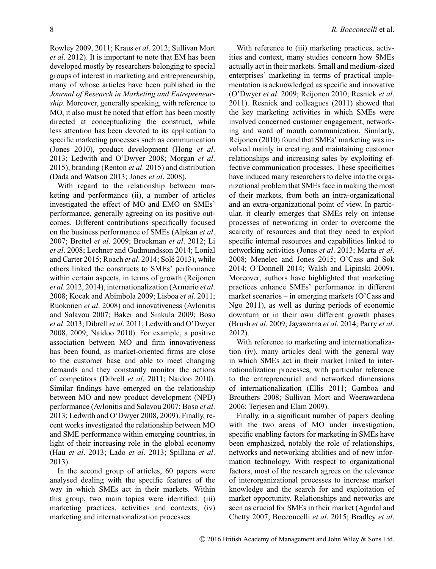Rowley 2009, 2011; Kraus *et al*. 2012; Sullivan Mort *et al*. 2012). It is important to note that EM has been developed mostly by researchers belonging to special groups of interest in marketing and entrepreneurship, many of whose articles have been published in the *Journal of Research in Marketing and Entrepreneurship*. Moreover, generally speaking, with reference to MO, it also must be noted that effort has been mostly directed at conceptualizing the construct, while less attention has been devoted to its application to specific marketing processes such as communication (Jones 2010), product development (Hong *et al*. 2013; Ledwith and O'Dwyer 2008; Morgan *et al*. 2015), branding (Renton *et al*. 2015) and distribution (Dada and Watson 2013; Jones *et al*. 2008).

With regard to the relationship between marketing and performance (ii), a number of articles investigated the effect of MO and EMO on SMEs' performance, generally agreeing on its positive outcomes. Different contributions specifically focused on the business performance of SMEs (Alpkan *et al*. 2007; Brettel *et al*. 2009; Brockman *et al*. 2012; Li *et al*. 2008; Lechner and Gudmundsson 2014; Lonial and Carter 2015; Roach *et al.* 2014; Solé 2013), while others linked the constructs to SMEs' performance within certain aspects, in terms of growth (Reijonen *et al*. 2012, 2014), internationalization (Armario *et al*. 2008; Kocak and Abimbola 2009; Lisboa *et al*. 2011; Ruokonen *et al*. 2008) and innovativeness (Avlonitis and Salavou 2007; Baker and Sinkula 2009; Boso *et al*. 2013; Dibrell *et al*. 2011; Ledwith and O'Dwyer 2008, 2009; Naidoo 2010). For example, a positive association between MO and firm innovativeness has been found, as market-oriented firms are close to the customer base and able to meet changing demands and they constantly monitor the actions of competitors (Dibrell *et al*. 2011; Naidoo 2010). Similar findings have emerged on the relationship between MO and new product development (NPD) performance (Avlonitis and Salavou 2007; Boso *et al*. 2013; Ledwith and O'Dwyer 2008, 2009). Finally, recent works investigated the relationship between MO and SME performance within emerging countries, in light of their increasing role in the global economy (Hau *et al*. 2013; Lado *et al*. 2013; Spillana *et al*. 2013).

In the second group of articles, 60 papers were analysed dealing with the specific features of the way in which SMEs act in their markets. Within this group, two main topics were identified: (iii) marketing practices, activities and contexts; (iv) marketing and internationalization processes.

With reference to (iii) marketing practices, activities and context, many studies concern how SMEs actually act in their markets. Small and medium-sized enterprises' marketing in terms of practical implementation is acknowledged as specific and innovative (O'Dwyer *et al*. 2009; Reijonen 2010; Resnick *et al*. 2011). Resnick and colleagues (2011) showed that the key marketing activities in which SMEs were involved concerned customer engagement, networking and word of mouth communication. Similarly, Reijonen (2010) found that SMEs' marketing was involved mainly in creating and maintaining customer relationships and increasing sales by exploiting effective communication processes. These specificities have induced many researchers to delve into the organizational problem that SMEs face in making the most of their markets, from both an intra-organizational and an extra-organizational point of view. In particular, it clearly emerges that SMEs rely on intense processes of networking in order to overcome the scarcity of resources and that they need to exploit specific internal resources and capabilities linked to networking activities (Jones *et al*. 2013; Marta *et al*. 2008; Menelec and Jones 2015; O'Cass and Sok 2014; O'Donnell 2014; Walsh and Lipinski 2009). Moreover, authors have highlighted that marketing practices enhance SMEs' performance in different market scenarios – in emerging markets (O'Cass and Ngo 2011), as well as during periods of economic downturn or in their own different growth phases (Brush *et al*. 2009; Jayawarna *et al*. 2014; Parry *et al*. 2012).

With reference to marketing and internationalization (iv), many articles deal with the general way in which SMEs act in their market linked to internationalization processes, with particular reference to the entrepreneurial and networked dimensions of internationalization (Ellis 2011; Gamboa and Brouthers 2008; Sullivan Mort and Weerawardena 2006; Terjesen and Elam 2009).

Finally, in a significant number of papers dealing with the two areas of MO under investigation, specific enabling factors for marketing in SMEs have been emphasized, notably the role of relationships, networks and networking abilities and of new information technology. With respect to organizational factors, most of the research agrees on the relevance of interorganizational processes to increase market knowledge and the search for and exploitation of market opportunity. Relationships and networks are seen as crucial for SMEs in their market (Agndal and Chetty 2007; Bocconcelli *et al*. 2015; Bradley *et al*.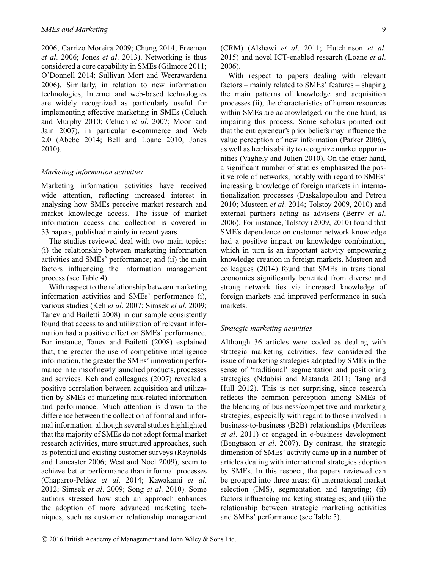2006; Carrizo Moreira 2009; Chung 2014; Freeman *et al*. 2006; Jones *et al*. 2013). Networking is thus considered a core capability in SMEs (Gilmore 2011; O'Donnell 2014; Sullivan Mort and Weerawardena 2006). Similarly, in relation to new information technologies, Internet and web-based technologies are widely recognized as particularly useful for implementing effective marketing in SMEs (Celuch and Murphy 2010; Celuch *et al*. 2007; Moon and Jain 2007), in particular e-commerce and Web 2.0 (Abebe 2014; Bell and Loane 2010; Jones 2010).

### *Marketing information activities*

Marketing information activities have received wide attention, reflecting increased interest in analysing how SMEs perceive market research and market knowledge access. The issue of market information access and collection is covered in 33 papers, published mainly in recent years.

The studies reviewed deal with two main topics: (i) the relationship between marketing information activities and SMEs' performance; and (ii) the main factors influencing the information management process (see Table 4).

With respect to the relationship between marketing information activities and SMEs' performance (i), various studies (Keh *et al*. 2007; Simsek *et al*. 2009; Tanev and Bailetti 2008) in our sample consistently found that access to and utilization of relevant information had a positive effect on SMEs' performance. For instance, Tanev and Bailetti (2008) explained that, the greater the use of competitive intelligence information, the greater the SMEs' innovation performance in terms of newly launched products, processes and services. Keh and colleagues (2007) revealed a positive correlation between acquisition and utilization by SMEs of marketing mix-related information and performance. Much attention is drawn to the difference between the collection of formal and informal information: although several studies highlighted that the majority of SMEs do not adopt formal market research activities, more structured approaches, such as potential and existing customer surveys (Reynolds and Lancaster 2006; West and Noel 2009), seem to achieve better performance than informal processes (Chaparro-Pelaez ´ *et al*. 2014; Kawakami *et al*. 2012; Simsek *et al*. 2009; Song *et al*. 2010). Some authors stressed how such an approach enhances the adoption of more advanced marketing techniques, such as customer relationship management (CRM) (Alshawi *et al*. 2011; Hutchinson *et al*. 2015) and novel ICT-enabled research (Loane *et al*. 2006).

With respect to papers dealing with relevant factors – mainly related to SMEs' features – shaping the main patterns of knowledge and acquisition processes (ii), the characteristics of human resources within SMEs are acknowledged, on the one hand, as impairing this process. Some scholars pointed out that the entrepreneur's prior beliefs may influence the value perception of new information (Parker 2006), as well as her/his ability to recognize market opportunities (Vaghely and Julien 2010). On the other hand, a significant number of studies emphasized the positive role of networks, notably with regard to SMEs' increasing knowledge of foreign markets in internationalization processes (Daskalopoulou and Petrou 2010; Musteen *et al*. 2014; Tolstoy 2009, 2010) and external partners acting as advisers (Berry *et al*. 2006). For instance, Tolstoy (2009, 2010) found that SME's dependence on customer network knowledge had a positive impact on knowledge combination, which in turn is an important activity empowering knowledge creation in foreign markets. Musteen and colleagues (2014) found that SMEs in transitional economies significantly benefited from diverse and strong network ties via increased knowledge of foreign markets and improved performance in such markets.

#### *Strategic marketing activities*

Although 36 articles were coded as dealing with strategic marketing activities, few considered the issue of marketing strategies adopted by SMEs in the sense of 'traditional' segmentation and positioning strategies (Ndubisi and Matanda 2011; Tang and Hull 2012). This is not surprising, since research reflects the common perception among SMEs of the blending of business/competitive and marketing strategies, especially with regard to those involved in business-to-business (B2B) relationships (Merrilees *et al*. 2011) or engaged in e-business development (Bengtsson *et al*. 2007). By contrast, the strategic dimension of SMEs' activity came up in a number of articles dealing with international strategies adoption by SMEs. In this respect, the papers reviewed can be grouped into three areas: (i) international market selection (IMS), segmentation and targeting; (ii) factors influencing marketing strategies; and (iii) the relationship between strategic marketing activities and SMEs' performance (see Table 5).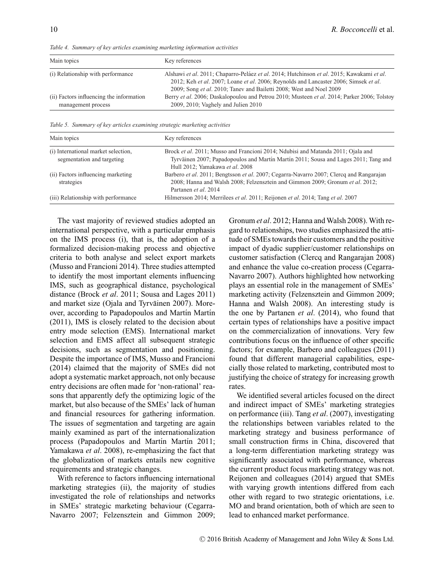| Main topics                                                    | Key references                                                                                                                                                                                                                                           |
|----------------------------------------------------------------|----------------------------------------------------------------------------------------------------------------------------------------------------------------------------------------------------------------------------------------------------------|
| (i) Relationship with performance                              | Alshawi et al. 2011; Chaparro-Peláez et al. 2014; Hutchinson et al. 2015; Kawakami et al.<br>2012; Keh et al. 2007; Loane et al. 2006; Reynolds and Lancaster 2006; Simsek et al.<br>2009; Song et al. 2010; Tanev and Bailetti 2008; West and Noel 2009 |
| (ii) Factors influencing the information<br>management process | Berry et al. 2006; Daskalopoulou and Petrou 2010; Musteen et al. 2014; Parker 2006; Tolstoy<br>2009, 2010; Vaghely and Julien 2010                                                                                                                       |

*Table 4. Summary of key articles examining marketing information activities*

*Table 5. Summary of key articles examining strategic marketing activities*

| Main topics                                                       | Key references                                                                                                                                                                                             |
|-------------------------------------------------------------------|------------------------------------------------------------------------------------------------------------------------------------------------------------------------------------------------------------|
| (i) International market selection,<br>segmentation and targeting | Brock et al. 2011; Musso and Francioni 2014; Ndubisi and Matanda 2011; Ojala and<br>Tyrväinen 2007; Papadopoulos and Martín Martín 2011; Sousa and Lages 2011; Tang and<br>Hull 2012; Yamakawa et al. 2008 |
| (ii) Factors influencing marketing<br>strategies                  | Barbero et al. 2011; Bengtsson et al. 2007; Cegarra-Navarro 2007; Clercq and Rangarajan<br>2008; Hanna and Walsh 2008; Felzensztein and Gimmon 2009; Gronum et al. 2012;<br>Partanen et al. 2014           |
| (iii) Relationship with performance                               | Hilmersson 2014; Merrilees <i>et al.</i> 2011; Reijonen <i>et al.</i> 2014; Tang <i>et al.</i> 2007                                                                                                        |

The vast majority of reviewed studies adopted an international perspective, with a particular emphasis on the IMS process (i), that is, the adoption of a formalized decision-making process and objective criteria to both analyse and select export markets (Musso and Francioni 2014). Three studies attempted to identify the most important elements influencing IMS, such as geographical distance, psychological distance (Brock *et al*. 2011; Sousa and Lages 2011) and market size (Ojala and Tyrväinen 2007). Moreover, according to Papadopoulos and Martín Martín (2011), IMS is closely related to the decision about entry mode selection (EMS). International market selection and EMS affect all subsequent strategic decisions, such as segmentation and positioning. Despite the importance of IMS, Musso and Francioni (2014) claimed that the majority of SMEs did not adopt a systematic market approach, not only because entry decisions are often made for 'non-rational' reasons that apparently defy the optimizing logic of the market, but also because of the SMEs' lack of human and financial resources for gathering information. The issues of segmentation and targeting are again mainly examined as part of the internationalization process (Papadopoulos and Martín Martín 2011; Yamakawa *et al*. 2008), re-emphasizing the fact that the globalization of markets entails new cognitive requirements and strategic changes.

With reference to factors influencing international marketing strategies (ii), the majority of studies investigated the role of relationships and networks in SMEs' strategic marketing behaviour (Cegarra-Navarro 2007; Felzensztein and Gimmon 2009;

Gronum *et al*. 2012; Hanna and Walsh 2008). With regard to relationships, two studies emphasized the attitude of SMEs towards their customers and the positive impact of dyadic supplier/customer relationships on customer satisfaction (Clercq and Rangarajan 2008) and enhance the value co-creation process (Cegarra-Navarro 2007). Authors highlighted how networking plays an essential role in the management of SMEs' marketing activity (Felzensztein and Gimmon 2009; Hanna and Walsh 2008). An interesting study is the one by Partanen *et al*. (2014), who found that certain types of relationships have a positive impact on the commercialization of innovations. Very few contributions focus on the influence of other specific factors; for example, Barbero and colleagues (2011) found that different managerial capabilities, especially those related to marketing, contributed most to justifying the choice of strategy for increasing growth rates.

We identified several articles focused on the direct and indirect impact of SMEs' marketing strategies on performance (iii). Tang *et al*. (2007), investigating the relationships between variables related to the marketing strategy and business performance of small construction firms in China, discovered that a long-term differentiation marketing strategy was significantly associated with performance, whereas the current product focus marketing strategy was not. Reijonen and colleagues (2014) argued that SMEs with varying growth intentions differed from each other with regard to two strategic orientations, i.e. MO and brand orientation, both of which are seen to lead to enhanced market performance.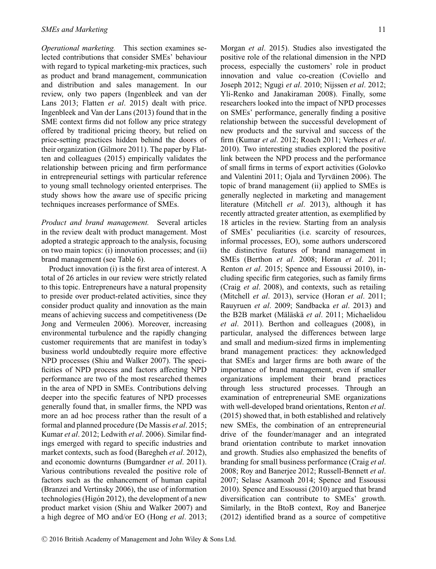*Operational marketing.* This section examines selected contributions that consider SMEs' behaviour with regard to typical marketing-mix practices, such as product and brand management, communication and distribution and sales management. In our review, only two papers (Ingenbleek and van der Lans 2013; Flatten *et al*. 2015) dealt with price. Ingenbleek and Van der Lans (2013) found that in the SME context firms did not follow any price strategy offered by traditional pricing theory, but relied on price-setting practices hidden behind the doors of their organization (Gilmore 2011). The paper by Flatten and colleagues (2015) empirically validates the relationship between pricing and firm performance in entrepreneurial settings with particular reference to young small technology oriented enterprises. The study shows how the aware use of specific pricing techniques increases performance of SMEs.

*Product and brand management.* Several articles in the review dealt with product management. Most adopted a strategic approach to the analysis, focusing on two main topics: (i) innovation processes; and (ii) brand management (see Table 6).

Product innovation (i) is the first area of interest. A total of 26 articles in our review were strictly related to this topic. Entrepreneurs have a natural propensity to preside over product-related activities, since they consider product quality and innovation as the main means of achieving success and competitiveness (De Jong and Vermeulen 2006). Moreover, increasing environmental turbulence and the rapidly changing customer requirements that are manifest in today's business world undoubtedly require more effective NPD processes (Shiu and Walker 2007). The specificities of NPD process and factors affecting NPD performance are two of the most researched themes in the area of NPD in SMEs. Contributions delving deeper into the specific features of NPD processes generally found that, in smaller firms, the NPD was more an ad hoc process rather than the result of a formal and planned procedure (De Massis *et al*. 2015; Kumar *et al*. 2012; Ledwith *et al*. 2006). Similar findings emerged with regard to specific industries and market contexts, such as food (Baregheh *et al*. 2012), and economic downturns (Bumgardner *et al*. 2011). Various contributions revealed the positive role of factors such as the enhancement of human capital (Branzei and Vertinsky 2006), the use of information technologies (Higón 2012), the development of a new product market vision (Shiu and Walker 2007) and a high degree of MO and/or EO (Hong *et al*. 2013; Morgan *et al*. 2015). Studies also investigated the positive role of the relational dimension in the NPD process, especially the customers' role in product innovation and value co-creation (Coviello and Joseph 2012; Ngugi *et al*. 2010; Nijssen *et al*. 2012; Yli-Renko and Janakiraman 2008). Finally, some researchers looked into the impact of NPD processes on SMEs' performance, generally finding a positive relationship between the successful development of new products and the survival and success of the firm (Kumar *et al*. 2012; Roach 2011; Verhees *et al*. 2010). Two interesting studies explored the positive link between the NPD process and the performance of small firms in terms of export activities (Golovko and Valentini 2011; Ojala and Tyrväinen 2006). The topic of brand management (ii) applied to SMEs is generally neglected in marketing and management literature (Mitchell *et al*. 2013), although it has recently attracted greater attention, as exemplified by 18 articles in the review. Starting from an analysis of SMEs' peculiarities (i.e. scarcity of resources, informal processes, EO), some authors underscored the distinctive features of brand management in SMEs (Berthon *et al*. 2008; Horan *et al*. 2011; Renton *et al*. 2015; Spence and Essoussi 2010), including specific firm categories, such as family firms (Craig *et al*. 2008), and contexts, such as retailing (Mitchell *et al*. 2013), service (Horan *et al*. 2011; Rauyruen *et al*. 2009; Sandbacka *et al*. 2013) and the B2B market (Mäläskä et al. 2011; Michaelidou *et al*. 2011). Berthon and colleagues (2008), in particular, analysed the differences between large and small and medium-sized firms in implementing brand management practices: they acknowledged that SMEs and larger firms are both aware of the importance of brand management, even if smaller organizations implement their brand practices through less structured processes. Through an examination of entrepreneurial SME organizations with well-developed brand orientations, Renton *et al*. (2015) showed that, in both established and relatively new SMEs, the combination of an entrepreneurial drive of the founder/manager and an integrated brand orientation contribute to market innovation and growth. Studies also emphasized the benefits of branding for small business performance (Craig *et al*. 2008; Roy and Banerjee 2012; Russell-Bennett *et al*. 2007; Selase Asamoah 2014; Spence and Essoussi 2010). Spence and Essoussi (2010) argued that brand diversification can contribute to SMEs' growth. Similarly, in the BtoB context, Roy and Banerjee (2012) identified brand as a source of competitive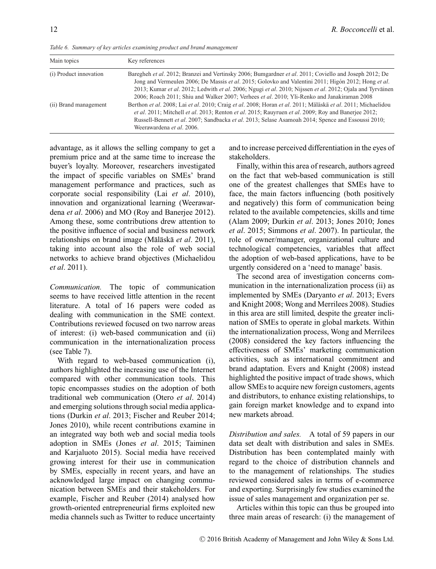| ł | ٠ |
|---|---|
|   |   |
|   |   |
|   |   |

|  |  | Table 6. Summary of key articles examining product and brand management |  |  |
|--|--|-------------------------------------------------------------------------|--|--|
|--|--|-------------------------------------------------------------------------|--|--|

| Main topics            | Key references                                                                                                                                                                                                                                                                                                                                                                                                            |
|------------------------|---------------------------------------------------------------------------------------------------------------------------------------------------------------------------------------------------------------------------------------------------------------------------------------------------------------------------------------------------------------------------------------------------------------------------|
| (i) Product innovation | Baregheh et al. 2012; Branzei and Vertinsky 2006; Bumgardner et al. 2011; Coviello and Joseph 2012; De<br>Jong and Vermeulen 2006; De Massis et al. 2015; Golovko and Valentini 2011; Higón 2012; Hong et al.<br>2013; Kumar et al. 2012; Ledwith et al. 2006; Ngugi et al. 2010; Nijssen et al. 2012; Ojala and Tyrväinen<br>2006; Roach 2011; Shiu and Walker 2007; Verhees et al. 2010; Yli-Renko and Janakiraman 2008 |
| (ii) Brand management  | Berthon et al. 2008; Lai et al. 2010; Craig et al. 2008; Horan et al. 2011; Mäläskä et al. 2011; Michaelidou<br><i>et al.</i> 2011; Mitchell <i>et al.</i> 2013; Renton <i>et al.</i> 2015; Rauyruen <i>et al.</i> 2009; Roy and Baneriee 2012;<br>Russell-Bennett et al. 2007; Sandbacka et al. 2013; Selase Asamoah 2014; Spence and Essoussi 2010;<br>Weerawardena et al. 2006.                                        |

advantage, as it allows the selling company to get a premium price and at the same time to increase the buyer's loyalty. Moreover, researchers investigated the impact of specific variables on SMEs' brand management performance and practices, such as corporate social responsibility (Lai *et al*. 2010), innovation and organizational learning (Weerawardena *et al*. 2006) and MO (Roy and Banerjee 2012). Among these, some contributions drew attention to the positive influence of social and business network relationships on brand image (Mäläskä *et al.* 2011), taking into account also the role of web social networks to achieve brand objectives (Michaelidou *et al*. 2011).

*Communication.* The topic of communication seems to have received little attention in the recent literature. A total of 16 papers were coded as dealing with communication in the SME context. Contributions reviewed focused on two narrow areas of interest: (i) web-based communication and (ii) communication in the internationalization process (see Table 7).

With regard to web-based communication (i), authors highlighted the increasing use of the Internet compared with other communication tools. This topic encompasses studies on the adoption of both traditional web communication (Otero *et al*. 2014) and emerging solutions through social media applications (Durkin *et al*. 2013; Fischer and Reuber 2014; Jones 2010), while recent contributions examine in an integrated way both web and social media tools adoption in SMEs (Jones *et al*. 2015; Taiminen and Karjaluoto 2015). Social media have received growing interest for their use in communication by SMEs, especially in recent years, and have an acknowledged large impact on changing communication between SMEs and their stakeholders. For example, Fischer and Reuber (2014) analysed how growth-oriented entrepreneurial firms exploited new media channels such as Twitter to reduce uncertainty

and to increase perceived differentiation in the eyes of stakeholders.

Finally, within this area of research, authors agreed on the fact that web-based communication is still one of the greatest challenges that SMEs have to face, the main factors influencing (both positively and negatively) this form of communication being related to the available competencies, skills and time (Alam 2009; Durkin *et al*. 2013; Jones 2010; Jones *et al*. 2015; Simmons *et al*. 2007). In particular, the role of owner/manager, organizational culture and technological competencies, variables that affect the adoption of web-based applications, have to be urgently considered on a 'need to manage' basis.

The second area of investigation concerns communication in the internationalization process (ii) as implemented by SMEs (Daryanto *et al*. 2013; Evers and Knight 2008; Wong and Merrilees 2008). Studies in this area are still limited, despite the greater inclination of SMEs to operate in global markets. Within the internationalization process, Wong and Merrilees (2008) considered the key factors influencing the effectiveness of SMEs' marketing communication activities, such as international commitment and brand adaptation. Evers and Knight (2008) instead highlighted the positive impact of trade shows, which allow SMEs to acquire new foreign customers, agents and distributors, to enhance existing relationships, to gain foreign market knowledge and to expand into new markets abroad.

*Distribution and sales.* A total of 59 papers in our data set dealt with distribution and sales in SMEs. Distribution has been contemplated mainly with regard to the choice of distribution channels and to the management of relationships. The studies reviewed considered sales in terms of e-commerce and exporting. Surprisingly few studies examined the issue of sales management and organization per se.

Articles within this topic can thus be grouped into three main areas of research: (i) the management of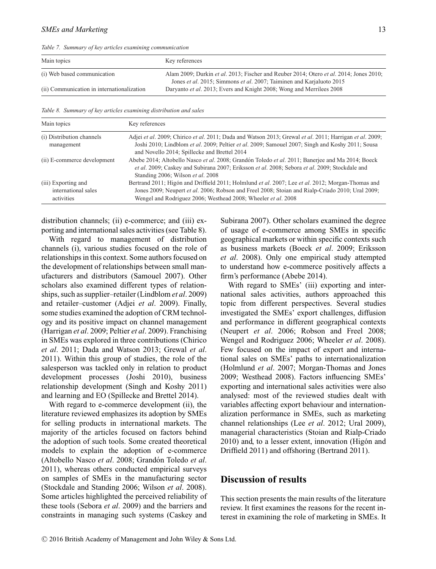*Table 7. Summary of key articles examining communication*

| Main topics                                | Key references                                                                                                                                                               |
|--------------------------------------------|------------------------------------------------------------------------------------------------------------------------------------------------------------------------------|
| (i) Web based communication                | Alam 2009; Durkin et al. 2013; Fischer and Reuber 2014; Otero et al. 2014; Jones 2010;<br>Jones <i>et al.</i> 2015; Simmons <i>et al.</i> 2007; Taiminen and Karjaluoto 2015 |
| (ii) Communication in internationalization | Daryanto <i>et al.</i> 2013; Evers and Knight 2008; Wong and Merrilees 2008                                                                                                  |

*Table 8. Summary of key articles examining distribution and sales*

| Main topics                                              | Key references                                                                                                                                                                                                                                                                       |
|----------------------------------------------------------|--------------------------------------------------------------------------------------------------------------------------------------------------------------------------------------------------------------------------------------------------------------------------------------|
| (i) Distribution channels<br>management                  | Adjei et al. 2009; Chirico et al. 2011; Dada and Watson 2013; Grewal et al. 2011; Harrigan et al. 2009;<br>Joshi 2010; Lindblom et al. 2009; Peltier et al. 2009; Samouel 2007; Singh and Koshy 2011; Sousa<br>and Novello 2014; Spillecke and Brettel 2014                          |
| (ii) E-commerce development                              | Abebe 2014; Altobello Nasco et al. 2008; Grandón Toledo et al. 2011; Banerjee and Ma 2014; Boeck<br>et al. 2009; Caskey and Subirana 2007; Eriksson et al. 2008; Sebora et al. 2009; Stockdale and<br>Standing 2006; Wilson et al. 2008                                              |
| (iii) Exporting and<br>international sales<br>activities | Bertrand 2011; Higón and Driffield 2011; Holmlund <i>et al.</i> 2007; Lee <i>et al.</i> 2012; Morgan-Thomas and<br>Jones 2009; Neupert et al. 2006; Robson and Freel 2008; Stoian and Rialp-Criado 2010; Ural 2009;<br>Wengel and Rodriguez 2006; Westhead 2008; Wheeler et al. 2008 |

distribution channels; (ii) e-commerce; and (iii) exporting and international sales activities (see Table 8).

With regard to management of distribution channels (i), various studies focused on the role of relationships in this context. Some authors focused on the development of relationships between small manufacturers and distributors (Samouel 2007). Other scholars also examined different types of relationships, such as supplier–retailer (Lindblom *et al*. 2009) and retailer–customer (Adjei *et al*. 2009). Finally, some studies examined the adoption of CRM technology and its positive impact on channel management (Harrigan *et al*. 2009; Peltier *et al*. 2009). Franchising in SMEs was explored in three contributions (Chirico *et al*. 2011; Dada and Watson 2013; Grewal *et al*. 2011). Within this group of studies, the role of the salesperson was tackled only in relation to product development processes (Joshi 2010), business relationship development (Singh and Koshy 2011) and learning and EO (Spillecke and Brettel 2014).

With regard to e-commerce development (ii), the literature reviewed emphasizes its adoption by SMEs for selling products in international markets. The majority of the articles focused on factors behind the adoption of such tools. Some created theoretical models to explain the adoption of e-commerce (Altobello Nasco *et al.* 2008; Grandón Toledo *et al.* 2011), whereas others conducted empirical surveys on samples of SMEs in the manufacturing sector (Stockdale and Standing 2006; Wilson *et al*. 2008). Some articles highlighted the perceived reliability of these tools (Sebora *et al*. 2009) and the barriers and constraints in managing such systems (Caskey and Subirana 2007). Other scholars examined the degree of usage of e-commerce among SMEs in specific geographical markets or within specific contexts such as business markets (Boeck *et al*. 2009; Eriksson *et al*. 2008). Only one empirical study attempted to understand how e-commerce positively affects a firm's performance (Abebe 2014).

With regard to SMEs' (iii) exporting and international sales activities, authors approached this topic from different perspectives. Several studies investigated the SMEs' export challenges, diffusion and performance in different geographical contexts (Neupert *et al*. 2006; Robson and Freel 2008; Wengel and Rodriguez 2006; Wheeler *et al*. 2008). Few focused on the impact of export and international sales on SMEs' paths to internationalization (Holmlund *et al*. 2007; Morgan-Thomas and Jones 2009; Westhead 2008). Factors influencing SMEs' exporting and international sales activities were also analysed: most of the reviewed studies dealt with variables affecting export behaviour and internationalization performance in SMEs, such as marketing channel relationships (Lee *et al*. 2012; Ural 2009), managerial characteristics (Stoian and Rialp-Criado  $2010$ ) and, to a lesser extent, innovation (Higón and Driffield 2011) and offshoring (Bertrand 2011).

# **Discussion of results**

This section presents the main results of the literature review. It first examines the reasons for the recent interest in examining the role of marketing in SMEs. It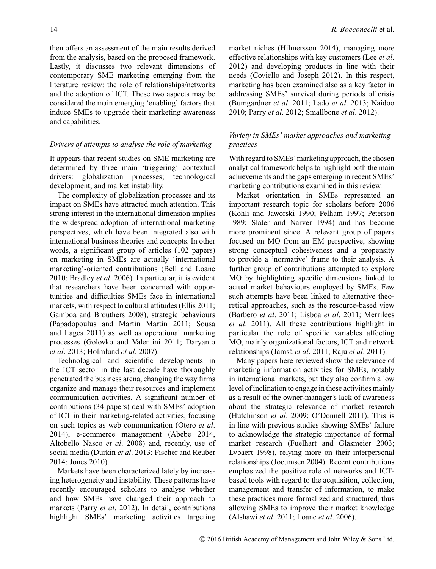then offers an assessment of the main results derived from the analysis, based on the proposed framework. Lastly, it discusses two relevant dimensions of contemporary SME marketing emerging from the literature review: the role of relationships/networks and the adoption of ICT. These two aspects may be considered the main emerging 'enabling' factors that induce SMEs to upgrade their marketing awareness and capabilities.

#### *Drivers of attempts to analyse the role of marketing*

It appears that recent studies on SME marketing are determined by three main 'triggering' contextual drivers: globalization processes; technological development; and market instability.

The complexity of globalization processes and its impact on SMEs have attracted much attention. This strong interest in the international dimension implies the widespread adoption of international marketing perspectives, which have been integrated also with international business theories and concepts. In other words, a significant group of articles (102 papers) on marketing in SMEs are actually 'international marketing'-oriented contributions (Bell and Loane 2010; Bradley *et al*. 2006). In particular, it is evident that researchers have been concerned with opportunities and difficulties SMEs face in international markets, with respect to cultural attitudes (Ellis 2011; Gamboa and Brouthers 2008), strategic behaviours (Papadopoulus and Martín Martín 2011; Sousa and Lages 2011) as well as operational marketing processes (Golovko and Valentini 2011; Daryanto *et al*. 2013; Holmlund *et al*. 2007).

Technological and scientific developments in the ICT sector in the last decade have thoroughly penetrated the business arena, changing the way firms organize and manage their resources and implement communication activities. A significant number of contributions (34 papers) deal with SMEs' adoption of ICT in their marketing-related activities, focusing on such topics as web communication (Otero *et al*. 2014), e-commerce management (Abebe 2014, Altobello Nasco *et al*. 2008) and, recently, use of social media (Durkin *et al*. 2013; Fischer and Reuber 2014; Jones 2010).

Markets have been characterized lately by increasing heterogeneity and instability. These patterns have recently encouraged scholars to analyse whether and how SMEs have changed their approach to markets (Parry *et al*. 2012). In detail, contributions highlight SMEs' marketing activities targeting market niches (Hilmersson 2014), managing more effective relationships with key customers (Lee *et al*. 2012) and developing products in line with their needs (Coviello and Joseph 2012). In this respect, marketing has been examined also as a key factor in addressing SMEs' survival during periods of crisis (Bumgardner *et al*. 2011; Lado *et al*. 2013; Naidoo 2010; Parry *et al*. 2012; Smallbone *et al*. 2012).

## *Variety in SMEs' market approaches and marketing practices*

With regard to SMEs' marketing approach, the chosen analytical framework helps to highlight both the main achievements and the gaps emerging in recent SMEs' marketing contributions examined in this review.

Market orientation in SMEs represented an important research topic for scholars before 2006 (Kohli and Jaworski 1990; Pelham 1997; Peterson 1989; Slater and Narver 1994) and has become more prominent since. A relevant group of papers focused on MO from an EM perspective, showing strong conceptual cohesiveness and a propensity to provide a 'normative' frame to their analysis. A further group of contributions attempted to explore MO by highlighting specific dimensions linked to actual market behaviours employed by SMEs. Few such attempts have been linked to alternative theoretical approaches, such as the resource-based view (Barbero *et al*. 2011; Lisboa *et al*. 2011; Merrilees *et al*. 2011). All these contributions highlight in particular the role of specific variables affecting MO, mainly organizational factors, ICT and network relationships (Jämsä et al. 2011; Raju et al. 2011).

Many papers here reviewed show the relevance of marketing information activities for SMEs, notably in international markets, but they also confirm a low level of inclination to engage in these activities mainly as a result of the owner-manager's lack of awareness about the strategic relevance of market research (Hutchinson *et al*. 2009; O'Donnell 2011). This is in line with previous studies showing SMEs' failure to acknowledge the strategic importance of formal market research (Fuelhart and Glasmeier 2003; Lybaert 1998), relying more on their interpersonal relationships (Jocumsen 2004). Recent contributions emphasized the positive role of networks and ICTbased tools with regard to the acquisition, collection, management and transfer of information, to make these practices more formalized and structured, thus allowing SMEs to improve their market knowledge (Alshawi *et al*. 2011; Loane *et al*. 2006).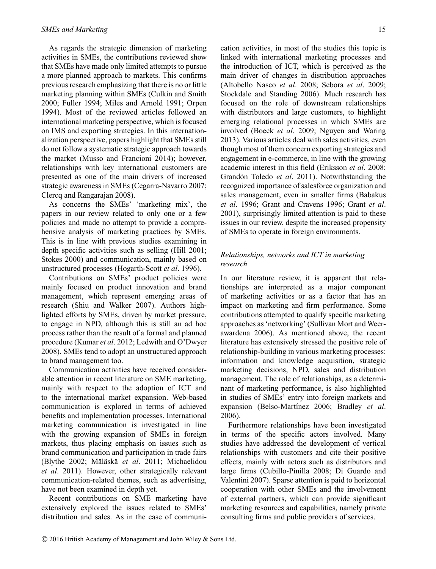As regards the strategic dimension of marketing activities in SMEs, the contributions reviewed show that SMEs have made only limited attempts to pursue a more planned approach to markets. This confirms previous research emphasizing that there is no or little marketing planning within SMEs (Culkin and Smith 2000; Fuller 1994; Miles and Arnold 1991; Orpen 1994). Most of the reviewed articles followed an international marketing perspective, which is focused on IMS and exporting strategies. In this internationalization perspective, papers highlight that SMEs still do not follow a systematic strategic approach towards the market (Musso and Francioni 2014); however, relationships with key international customers are presented as one of the main drivers of increased strategic awareness in SMEs (Cegarra-Navarro 2007; Clercq and Rangarajan 2008).

As concerns the SMEs' 'marketing mix', the papers in our review related to only one or a few policies and made no attempt to provide a comprehensive analysis of marketing practices by SMEs. This is in line with previous studies examining in depth specific activities such as selling (Hill 2001; Stokes 2000) and communication, mainly based on unstructured processes (Hogarth-Scott *et al*. 1996).

Contributions on SMEs' product policies were mainly focused on product innovation and brand management, which represent emerging areas of research (Shiu and Walker 2007). Authors highlighted efforts by SMEs, driven by market pressure, to engage in NPD, although this is still an ad hoc process rather than the result of a formal and planned procedure (Kumar *et al*. 2012; Ledwith and O'Dwyer 2008). SMEs tend to adopt an unstructured approach to brand management too.

Communication activities have received considerable attention in recent literature on SME marketing, mainly with respect to the adoption of ICT and to the international market expansion. Web-based communication is explored in terms of achieved benefits and implementation processes. International marketing communication is investigated in line with the growing expansion of SMEs in foreign markets, thus placing emphasis on issues such as brand communication and participation in trade fairs (Blythe 2002; Mäläskä et al. 2011; Michaelidou *et al*. 2011). However, other strategically relevant communication-related themes, such as advertising, have not been examined in depth yet.

Recent contributions on SME marketing have extensively explored the issues related to SMEs' distribution and sales. As in the case of communication activities, in most of the studies this topic is linked with international marketing processes and the introduction of ICT, which is perceived as the main driver of changes in distribution approaches (Altobello Nasco *et al*. 2008; Sebora *et al*. 2009; Stockdale and Standing 2006). Much research has focused on the role of downstream relationships with distributors and large customers, to highlight emerging relational processes in which SMEs are involved (Boeck *et al*. 2009; Nguyen and Waring 2013). Various articles deal with sales activities, even though most of them concern exporting strategies and engagement in e-commerce, in line with the growing academic interest in this field (Eriksson *et al*. 2008; Grandón Toledo et al. 2011). Notwithstanding the recognized importance of salesforce organization and sales management, even in smaller firms (Babakus *et al*. 1996; Grant and Cravens 1996; Grant *et al*. 2001), surprisingly limited attention is paid to these issues in our review, despite the increased propensity of SMEs to operate in foreign environments.

## *Relationships, networks and ICT in marketing research*

In our literature review, it is apparent that relationships are interpreted as a major component of marketing activities or as a factor that has an impact on marketing and firm performance. Some contributions attempted to qualify specific marketing approaches as 'networking' (Sullivan Mort and Weerawardena 2006). As mentioned above, the recent literature has extensively stressed the positive role of relationship-building in various marketing processes: information and knowledge acquisition, strategic marketing decisions, NPD, sales and distribution management. The role of relationships, as a determinant of marketing performance, is also highlighted in studies of SMEs' entry into foreign markets and expansion (Belso-Martínez 2006; Bradley et al. 2006).

Furthermore relationships have been investigated in terms of the specific actors involved. Many studies have addressed the development of vertical relationships with customers and cite their positive effects, mainly with actors such as distributors and large firms (Cubillo-Pinilla 2008; Di Guardo and Valentini 2007). Sparse attention is paid to horizontal cooperation with other SMEs and the involvement of external partners, which can provide significant marketing resources and capabilities, namely private consulting firms and public providers of services.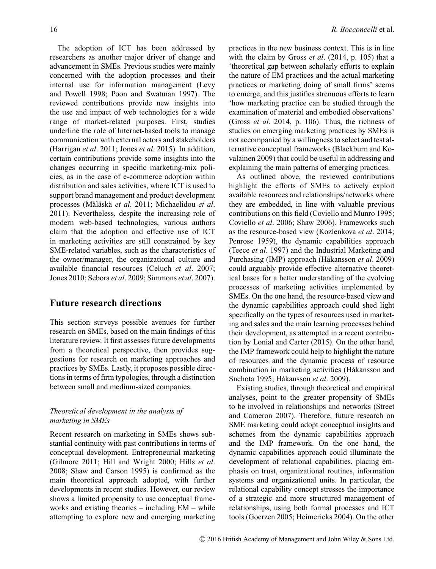The adoption of ICT has been addressed by researchers as another major driver of change and advancement in SMEs. Previous studies were mainly concerned with the adoption processes and their internal use for information management (Levy and Powell 1998; Poon and Swatman 1997). The reviewed contributions provide new insights into the use and impact of web technologies for a wide range of market-related purposes. First, studies underline the role of Internet-based tools to manage communication with external actors and stakeholders (Harrigan *et al*. 2011; Jones *et al*. 2015). In addition, certain contributions provide some insights into the changes occurring in specific marketing-mix policies, as in the case of e-commerce adoption within distribution and sales activities, where ICT is used to support brand management and product development processes (Mäläskä et al. 2011; Michaelidou et al. 2011). Nevertheless, despite the increasing role of modern web-based technologies, various authors claim that the adoption and effective use of ICT in marketing activities are still constrained by key SME-related variables, such as the characteristics of the owner/manager, the organizational culture and available financial resources (Celuch *et al*. 2007; Jones 2010; Sebora *et al*. 2009; Simmons *et al*. 2007).

## **Future research directions**

This section surveys possible avenues for further research on SMEs, based on the main findings of this literature review. It first assesses future developments from a theoretical perspective, then provides suggestions for research on marketing approaches and practices by SMEs. Lastly, it proposes possible directions in terms of firm typologies, through a distinction between small and medium-sized companies.

## *Theoretical development in the analysis of marketing in SMEs*

Recent research on marketing in SMEs shows substantial continuity with past contributions in terms of conceptual development. Entrepreneurial marketing (Gilmore 2011; Hill and Wright 2000; Hills *et al*. 2008; Shaw and Carson 1995) is confirmed as the main theoretical approach adopted, with further developments in recent studies. However, our review shows a limited propensity to use conceptual frameworks and existing theories – including EM – while attempting to explore new and emerging marketing

practices in the new business context. This is in line with the claim by Gross *et al*. (2014, p. 105) that a 'theoretical gap between scholarly efforts to explain the nature of EM practices and the actual marketing practices or marketing doing of small firms' seems to emerge, and this justifies strenuous efforts to learn 'how marketing practice can be studied through the examination of material and embodied observations' (Gross *et al*. 2014, p. 106). Thus, the richness of studies on emerging marketing practices by SMEs is not accompanied by a willingness to select and test alternative conceptual frameworks (Blackburn and Kovalainen 2009) that could be useful in addressing and explaining the main patterns of emerging practices.

As outlined above, the reviewed contributions highlight the efforts of SMEs to actively exploit available resources and relationships/networks where they are embedded, in line with valuable previous contributions on this field (Coviello and Munro 1995; Coviello *et al*. 2006; Shaw 2006). Frameworks such as the resource-based view (Kozlenkova *et al*. 2014; Penrose 1959), the dynamic capabilities approach (Teece *et al*. 1997) and the Industrial Marketing and Purchasing (IMP) approach (Håkansson et al. 2009) could arguably provide effective alternative theoretical bases for a better understanding of the evolving processes of marketing activities implemented by SMEs. On the one hand, the resource-based view and the dynamic capabilities approach could shed light specifically on the types of resources used in marketing and sales and the main learning processes behind their development, as attempted in a recent contribution by Lonial and Carter (2015). On the other hand, the IMP framework could help to highlight the nature of resources and the dynamic process of resource combination in marketing activities (Håkansson and Snehota 1995: Håkansson *et al.* 2009).

Existing studies, through theoretical and empirical analyses, point to the greater propensity of SMEs to be involved in relationships and networks (Street and Cameron 2007). Therefore, future research on SME marketing could adopt conceptual insights and schemes from the dynamic capabilities approach and the IMP framework. On the one hand, the dynamic capabilities approach could illuminate the development of relational capabilities, placing emphasis on trust, organizational routines, information systems and organizational units. In particular, the relational capability concept stresses the importance of a strategic and more structured management of relationships, using both formal processes and ICT tools (Goerzen 2005; Heimericks 2004). On the other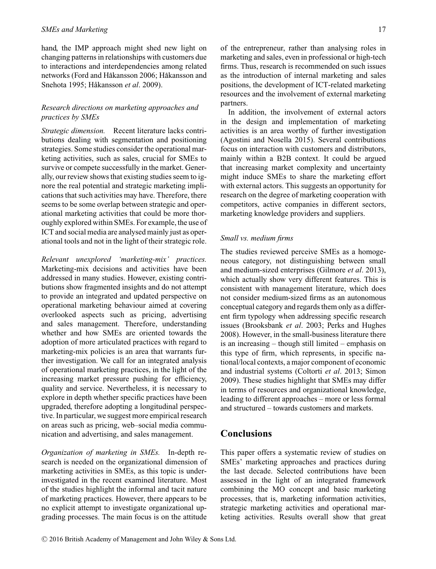hand, the IMP approach might shed new light on changing patterns in relationships with customers due to interactions and interdependencies among related networks (Ford and Håkansson 2006; Håkansson and Snehota 1995; Håkansson et al. 2009).

## *Research directions on marketing approaches and practices by SMEs*

*Strategic dimension.* Recent literature lacks contributions dealing with segmentation and positioning strategies. Some studies consider the operational marketing activities, such as sales, crucial for SMEs to survive or compete successfully in the market. Generally, our review shows that existing studies seem to ignore the real potential and strategic marketing implications that such activities may have. Therefore, there seems to be some overlap between strategic and operational marketing activities that could be more thoroughly explored within SMEs. For example, the use of ICT and social media are analysed mainly just as operational tools and not in the light of their strategic role.

*Relevant unexplored 'marketing-mix' practices.* Marketing-mix decisions and activities have been addressed in many studies. However, existing contributions show fragmented insights and do not attempt to provide an integrated and updated perspective on operational marketing behaviour aimed at covering overlooked aspects such as pricing, advertising and sales management. Therefore, understanding whether and how SMEs are oriented towards the adoption of more articulated practices with regard to marketing-mix policies is an area that warrants further investigation. We call for an integrated analysis of operational marketing practices, in the light of the increasing market pressure pushing for efficiency, quality and service. Nevertheless, it is necessary to explore in depth whether specific practices have been upgraded, therefore adopting a longitudinal perspective. In particular, we suggest more empirical research on areas such as pricing, web–social media communication and advertising, and sales management.

*Organization of marketing in SMEs.* In-depth research is needed on the organizational dimension of marketing activities in SMEs, as this topic is underinvestigated in the recent examined literature. Most of the studies highlight the informal and tacit nature of marketing practices. However, there appears to be no explicit attempt to investigate organizational upgrading processes. The main focus is on the attitude of the entrepreneur, rather than analysing roles in marketing and sales, even in professional or high-tech firms. Thus, research is recommended on such issues as the introduction of internal marketing and sales positions, the development of ICT-related marketing resources and the involvement of external marketing partners.

In addition, the involvement of external actors in the design and implementation of marketing activities is an area worthy of further investigation (Agostini and Nosella 2015). Several contributions focus on interaction with customers and distributors, mainly within a B2B context. It could be argued that increasing market complexity and uncertainty might induce SMEs to share the marketing effort with external actors. This suggests an opportunity for research on the degree of marketing cooperation with competitors, active companies in different sectors, marketing knowledge providers and suppliers.

## *Small vs. medium firms*

The studies reviewed perceive SMEs as a homogeneous category, not distinguishing between small and medium-sized enterprises (Gilmore *et al*. 2013), which actually show very different features. This is consistent with management literature, which does not consider medium-sized firms as an autonomous conceptual category and regards them only as a different firm typology when addressing specific research issues (Brooksbank *et al*. 2003; Perks and Hughes 2008). However, in the small-business literature there is an increasing – though still limited – emphasis on this type of firm, which represents, in specific national/local contexts, a major component of economic and industrial systems (Coltorti *et al*. 2013; Simon 2009). These studies highlight that SMEs may differ in terms of resources and organizational knowledge, leading to different approaches – more or less formal and structured – towards customers and markets.

# **Conclusions**

This paper offers a systematic review of studies on SMEs' marketing approaches and practices during the last decade. Selected contributions have been assessed in the light of an integrated framework combining the MO concept and basic marketing processes, that is, marketing information activities, strategic marketing activities and operational marketing activities. Results overall show that great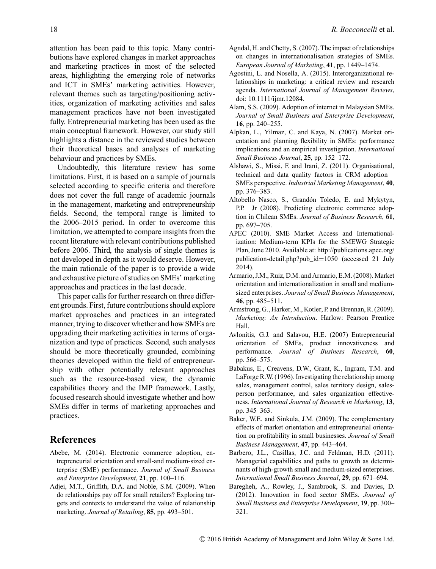attention has been paid to this topic. Many contributions have explored changes in market approaches and marketing practices in most of the selected areas, highlighting the emerging role of networks and ICT in SMEs' marketing activities. However, relevant themes such as targeting/positioning activities, organization of marketing activities and sales management practices have not been investigated fully. Entrepreneurial marketing has been used as the main conceptual framework. However, our study still highlights a distance in the reviewed studies between their theoretical bases and analyses of marketing behaviour and practices by SMEs.

Undoubtedly, this literature review has some limitations. First, it is based on a sample of journals selected according to specific criteria and therefore does not cover the full range of academic journals in the management, marketing and entrepreneurship fields. Second, the temporal range is limited to the 2006–2015 period. In order to overcome this limitation, we attempted to compare insights from the recent literature with relevant contributions published before 2006. Third, the analysis of single themes is not developed in depth as it would deserve. However, the main rationale of the paper is to provide a wide and exhaustive picture of studies on SMEs' marketing approaches and practices in the last decade.

This paper calls for further research on three different grounds. First, future contributions should explore market approaches and practices in an integrated manner, trying to discover whether and how SMEs are upgrading their marketing activities in terms of organization and type of practices. Second, such analyses should be more theoretically grounded, combining theories developed within the field of entrepreneurship with other potentially relevant approaches such as the resource-based view, the dynamic capabilities theory and the IMP framework. Lastly, focused research should investigate whether and how SMEs differ in terms of marketing approaches and practices.

## **References**

- Abebe, M. (2014). Electronic commerce adoption, entrepreneurial orientation and small-and medium-sized enterprise (SME) performance. *Journal of Small Business and Enterprise Development*, **21**, pp. 100–116.
- Adjei, M.T., Griffith, D.A. and Noble, S.M. (2009). When do relationships pay off for small retailers? Exploring targets and contexts to understand the value of relationship marketing. *Journal of Retailing*, **85**, pp. 493–501.
- Agndal, H. and Chetty, S. (2007). The impact of relationships on changes in internationalisation strategies of SMEs. *European Journal of Marketing*, **41**, pp. 1449–1474.
- Agostini, L. and Nosella, A. (2015). Interorganizational relationships in marketing: a critical review and research agenda. *International Journal of Management Reviews*, doi: 10.1111/ijmr.12084.
- Alam, S.S. (2009). Adoption of internet in Malaysian SMEs. *Journal of Small Business and Enterprise Development*, **16**, pp. 240–255.
- Alpkan, L., Yilmaz, C. and Kaya, N. (2007). Market orientation and planning flexibility in SMEs: performance implications and an empirical investigation. *International Small Business Journal*, **25**, pp. 152–172.
- Alshawi, S., Missi, F. and Irani, Z. (2011). Organisational, technical and data quality factors in CRM adoption – SMEs perspective. *Industrial Marketing Management*, **40**, pp. 376–383.
- Altobello Nasco, S., Grandón Toledo, E. and Mykytyn, P.P. Jr (2008). Predicting electronic commerce adoption in Chilean SMEs. *Journal of Business Research*, **61**, pp. 697–705.
- APEC (2010). SME Market Access and Internationalization: Medium-term KPIs for the SMEWG Strategic Plan, June 2010. Available at: [http://publications.apec.org/](http://publications.apec.org/publication-detail.php?pub_id=1050) [publication-detail.php?pub\\_id](http://publications.apec.org/publication-detail.php?pub_id=1050)=1050 (accessed 21 July 2014).
- Armario, J.M., Ruiz, D.M. and Armario, E.M. (2008). Market orientation and internationalization in small and mediumsized enterprises. *Journal of Small Business Management*, **46**, pp. 485–511.
- Armstrong, G., Harker, M., Kotler, P. and Brennan, R. (2009). *Marketing: An Introduction*. Harlow: Pearson Prentice Hall.
- Avlonitis, G.J. and Salavou, H.E. (2007) Entrepreneurial orientation of SMEs, product innovativeness and performance. *Journal of Business Research*, **60**, pp. 566–575.
- Babakus, E., Creavens, D.W., Grant, K., Ingram, T.M. and LaForge R.W. (1996). Investigating the relationship among sales, management control, sales territory design, salesperson performance, and sales organization effectiveness. *International Journal of Research in Marketing*, **13**, pp. 345–363.
- Baker, W.E. and Sinkula, J.M. (2009). The complementary effects of market orientation and entrepreneurial orientation on profitability in small businesses. *Journal of Small Business Management*, **47**, pp. 443–464.
- Barbero, J.L., Casillas, J.C. and Feldman, H.D. (2011). Managerial capabilities and paths to growth as determinants of high-growth small and medium-sized enterprises. *International Small Business Journal*, **29**, pp. 671–694.
- Baregheh, A., Rowley, J., Sambrook, S. and Davies, D. (2012). Innovation in food sector SMEs. *Journal of Small Business and Enterprise Development*, **19**, pp. 300– 321.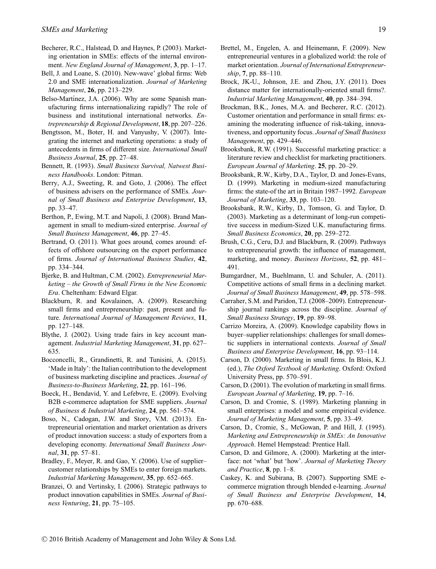- Becherer, R.C., Halstead, D. and Haynes, P. (2003). Marketing orientation in SMEs: effects of the internal environment. *New England Journal of Management*, **3**, pp. 1–17.
- Bell, J. and Loane, S. (2010). New-wave' global firms: Web 2.0 and SME internationalization. *Journal of Marketing Management*, **26**, pp. 213–229.
- Belso-Martínez, J.A. (2006). Why are some Spanish manufacturing firms internationalizing rapidly? The role of business and institutional international networks. *Entrepreneurship & Regional Development*, **18**, pp. 207–226.
- Bengtsson, M., Boter, H. and Vanyushy, V. (2007). Integrating the internet and marketing operations: a study of antecedents in firms of different size. *International Small Business Journal*, **25**, pp. 27–48.
- Bennett, R. (1993). *Small Business Survival, Natwest Business Handbooks*. London: Pitman.
- Berry, A.J., Sweeting, R. and Goto, J. (2006). The effect of business advisers on the performance of SMEs. *Journal of Small Business and Enterprise Development*, **13**, pp. 33–47.
- Berthon, P., Ewing, M.T. and Napoli, J. (2008). Brand Management in small to medium-sized enterprise. *Journal of Small Business Management*, **46**, pp. 27–45.
- Bertrand, O. (2011). What goes around, comes around: effects of offshore outsourcing on the export performance of firms. *Journal of International Business Studies*, **42**, pp. 334–344.
- Bjerke, B. and Hultman, C.M. (2002). *Entrepreneurial Marketing – the Growth of Small Firms in the New Economic Era*. Cheltenham: Edward Elgar.
- Blackburn, R. and Kovalainen, A. (2009). Researching small firms and entrepreneurship: past, present and future. *International Journal of Management Reviews*, **11**, pp. 127–148.
- Blythe, J. (2002). Using trade fairs in key account management. *Industrial Marketing Management*, **31**, pp. 627– 635.
- Bocconcelli, R., Grandinetti, R. and Tunisini, A. (2015). 'Made in Italy': the Italian contribution to the development of business marketing discipline and practices. *Journal of Business-to-Business Marketing*, **22**, pp. 161–196.
- Boeck, H., Bendavid, Y. and Lefebvre, E. (2009). Evolving B2B e-commerce adaptation for SME suppliers. *Journal of Business & Industrial Marketing*, **24**, pp. 561–574.
- Boso, N., Cadogan, J.W. and Story, V.M. (2013). Entrepreneurial orientation and market orientation as drivers of product innovation success: a study of exporters from a developing economy. *International Small Business Journal*, **31**, pp. 57–81.
- Bradley, F., Meyer, R. and Gao, Y. (2006). Use of supplier– customer relationships by SMEs to enter foreign markets. *Industrial Marketing Management*, **35**, pp. 652–665.
- Branzei, O. and Vertinsky, I. (2006). Strategic pathways to product innovation capabilities in SMEs. *Journal of Business Venturing*, **21**, pp. 75–105.
- Brettel, M., Engelen, A. and Heinemann, F. (2009). New entrepreneurial ventures in a globalized world: the role of market orientation. *Journal of International Entrepreneurship*, **7**, pp. 88–110.
- Brock, JK-U., Johnson, J.E. and Zhou, J.Y. (2011). Does distance matter for internationally-oriented small firms?. *Industrial Marketing Management*, **40**, pp. 384–394.
- Brockman, B.K., Jones, M.A. and Becherer, R.C. (2012). Customer orientation and performance in small firms: examining the moderating influence of risk-taking, innovativeness, and opportunity focus. *Journal of Small Business Management*, pp. 429–446.
- Brooksbank, R.W. (1991). Successful marketing practice: a literature review and checklist for marketing practitioners. *European Journal of Marketing*. **25**, pp. 20–29.
- Brooksbank, R.W., Kirby, D.A., Taylor, D. and Jones-Evans, D. (1999). Marketing in medium-sized manufacturing firms: the state-of the art in Britain 1987–1992. *European Journal of Marketing*, **33**, pp. 103–120.
- Brooksbank, R.W., Kirby, D., Tomson, G. and Taylor, D. (2003). Marketing as a determinant of long-run competitive success in medium-Sized U.K. manufacturing firms. *Small Business Economics*, **20**, pp. 259–272.
- Brush, C.G., Ceru, D.J. and Blackburn, R. (2009). Pathways to entrepreneurial growth: the influence of management, marketing, and money. *Business Horizons*, **52**, pp. 481– 491.
- Bumgardner, M., Buehlmann, U. and Schuler, A. (2011). Competitive actions of small firms in a declining market. *Journal of Small Business Management*, **49**, pp. 578–598.
- Carraher, S.M. and Paridon, T.J. (2008–2009). Entrepreneurship journal rankings across the discipline. *Journal of Small Business Strategy*, **19**, pp. 89–98.
- Carrizo Moreira, A. (2009). Knowledge capability flows in buyer–supplier relationships: challenges for small domestic suppliers in international contexts. *Journal of Small Business and Enterprise Development*, **16**, pp. 93–114.
- Carson, D. (2000). Marketing in small firms. In Blois, K.J. (ed.), *The Oxford Textbook of Marketing*. Oxford: Oxford University Press, pp. 570–591.
- Carson, D. (2001). The evolution of marketing in small firms. *European Journal of Marketing*, **19**, pp. 7–16.
- Carson, D. and Cromie, S. (1989). Marketing planning in small enterprises: a model and some empirical evidence. *Journal of Marketing Management*, **5**, pp. 33–49.
- Carson, D., Cromie, S., McGowan, P. and Hill, J. (1995). *Marketing and Entrepreneurship in SMEs: An Innovative Approach*. Hemel Hempstead: Prentice Hall.
- Carson, D. and Gilmore, A. (2000). Marketing at the interface: not 'what' but 'how'. *Journal of Marketing Theory and Practice*, **8**, pp. 1–8.
- Caskey, K. and Subirana, B. (2007). Supporting SME ecommerce migration through blended e-learning. *Journal of Small Business and Enterprise Development*, **14**, pp. 670–688.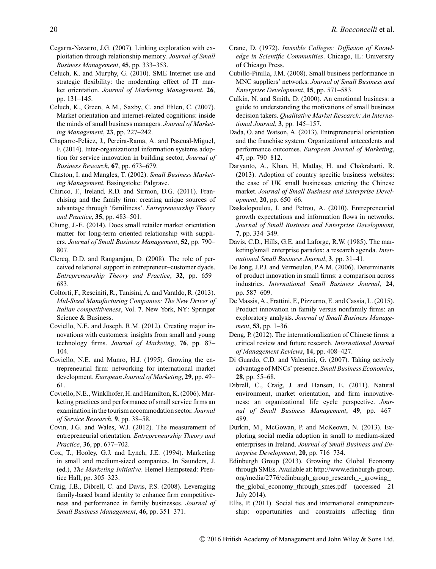- Cegarra-Navarro, J.G. (2007). Linking exploration with exploitation through relationship memory. *Journal of Small Business Management*, **45**, pp. 333–353.
- Celuch, K. and Murphy, G. (2010). SME Internet use and strategic flexibility: the moderating effect of IT market orientation. *Journal of Marketing Management*, **26**, pp. 131–145.
- Celuch, K., Green, A.M., Saxby, C. and Ehlen, C. (2007). Market orientation and internet-related cognitions: inside the minds of small business managers. *Journal of Marketing Management*, **23**, pp. 227–242.
- Chaparro-Peláez, J., Pereira-Rama, A. and Pascual-Miguel, F. (2014). Inter-organizational information systems adoption for service innovation in building sector, *Journal of Business Research*, **67**, pp. 673–679.
- Chaston, I. and Mangles, T. (2002). *Small Business Marketing Management*. Basingstoke: Palgrave.
- Chirico, F., Ireland, R.D. and Sirmon, D.G. (2011). Franchising and the family firm: creating unique sources of advantage through 'familiness'. *Entrepreneurship Theory and Practice*, **35**, pp. 483–501.
- Chung, J.-E. (2014). Does small retailer market orientation matter for long-term oriented relationship with suppliers. *Journal of Small Business Management*, **52**, pp. 790– 807.
- Clercq, D.D. and Rangarajan, D. (2008). The role of perceived relational support in entrepreneur–customer dyads. *Entrepreneurship Theory and Practice*, **32**, pp. 659– 683.
- Coltorti, F., Resciniti, R., Tunisini, A. and Varaldo, R. (2013). *Mid-Sized Manufacturing Companies: The New Driver of Italian competitiveness*, Vol. **7**. New York, NY: Springer Science & Business.
- Coviello, N.E. and Joseph, R.M. (2012). Creating major innovations with customers: insights from small and young technology firms. *Journal of Marketing*, **76**, pp. 87– 104.
- Coviello, N.E. and Munro, H.J. (1995). Growing the entrepreneurial firm: networking for international market development. *European Journal of Marketing*, **29**, pp. 49– 61.
- Coviello, N.E.,Winklhofer, H. and Hamilton, K. (2006). Marketing practices and performance of small service firms an examination in the tourism accommodation sector. *Journal of Service Research*, **9**, pp. 38–58.
- Covin, J.G. and Wales, W.J. (2012). The measurement of entrepreneurial orientation. *Entrepreneurship Theory and Practice*, **36**, pp. 677–702.
- Cox, T., Hooley, G.J. and Lynch, J.E. (1994). Marketing in small and medium-sized companies. In Saunders, J. (ed.), *The Marketing Initiative*. Hemel Hempstead: Prentice Hall, pp. 305–323.
- Craig, J.B., Dibrell, C. and Davis, P.S. (2008). Leveraging family-based brand identity to enhance firm competitiveness and performance in family businesses. *Journal of Small Business Management*, **46**, pp. 351–371.
- Crane, D. (1972). *Invisible Colleges: Diffusion of Knowledge in Scientific Communities*. Chicago, IL: University of Chicago Press.
- Cubillo-Pinilla, J.M. (2008). Small business performance in MNC suppliers' networks. *Journal of Small Business and Enterprise Development*, **15**, pp. 571–583.
- Culkin, N. and Smith, D. (2000). An emotional business: a guide to understanding the motivations of small business decision takers. *Qualitative Market Research: An International Journal*, **3**, pp. 145–157.
- Dada, O. and Watson, A. (2013). Entrepreneurial orientation and the franchise system. Organizational antecedents and performance outcomes. *European Journal of Marketing*, **47**, pp. 790–812.
- Daryanto, A., Khan, H, Matlay, H. and Chakrabarti, R. (2013). Adoption of country specific business websites: the case of UK small businesses entering the Chinese market. *Journal of Small Business and Enterprise Development*, **20**, pp. 650–66.
- Daskalopoulou, I. and Petrou, A. (2010). Entrepreneurial growth expectations and information flows in networks. *Journal of Small Business and Enterprise Development*, **7**, pp. 334–349.
- Davis, C.D., Hills, G.E. and Laforge, R.W. (1985). The marketing/small enterprise paradox: a research agenda. *International Small Business Journal*, **3**, pp. 31–41.
- De Jong, J.P.J. and Vermeulen, P.A.M. (2006). Determinants of product innovation in small firms: a comparison across industries. *International Small Business Journal*, **24**, pp. 587–609.
- De Massis, A., Frattini, F., Pizzurno, E. and Cassia, L. (2015). Product innovation in family versus nonfamily firms: an exploratory analysis. *Journal of Small Business Management*, **53**, pp. 1–36.
- Deng, P. (2012). The internationalization of Chinese firms: a critical review and future research. *International Journal of Management Reviews*, **14**, pp. 408–427.
- Di Guardo, C.D. and Valentini, G. (2007). Taking actively advantage of MNCs' presence. *Small Business Economics*, **28**, pp. 55–68.
- Dibrell, C., Craig, J. and Hansen, E. (2011). Natural environment, market orientation, and firm innovativeness: an organizational life cycle perspective. *Journal of Small Business Management*, **49**, pp. 467– 489.
- Durkin, M., McGowan, P. and McKeown, N. (2013). Exploring social media adoption in small to medium-sized enterprises in Ireland. *Journal of Small Business and Enterprise Development*, **20**, pp. 716–734.
- Edinburgh Group (2013). Growing the Global Economy through SMEs. Available at: [http://www.edinburgh-group.](http://www.edinburgh-group.org/media/2776/edinburgh_group_research_-_growing_the_global_economy_through_smes.pdf) [org/media/2776/edinburgh\\_group\\_research\\_-\\_growing\\_](http://www.edinburgh-group.org/media/2776/edinburgh_group_research_-_growing_the_global_economy_through_smes.pdf) [the\\_global\\_economy\\_through\\_smes.pdf](http://www.edinburgh-group.org/media/2776/edinburgh_group_research_-_growing_the_global_economy_through_smes.pdf) (accessed 21 July 2014).
- Ellis, P. (2011). Social ties and international entrepreneurship: opportunities and constraints affecting firm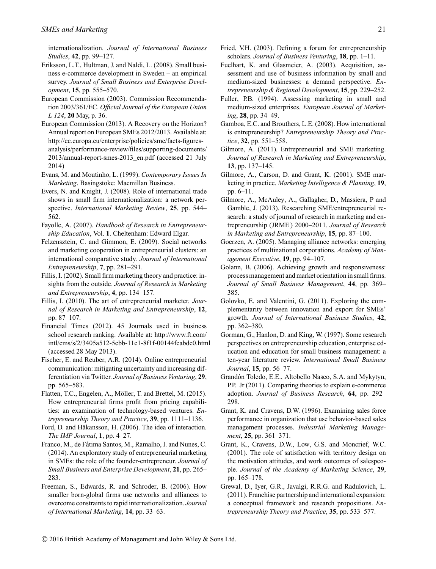internationalization. *Journal of International Business Studies*, **42**, pp. 99–127.

- Eriksson, L.T., Hultman, J. and Naldi, L. (2008). Small business e-commerce development in Sweden – an empirical survey. *Journal of Small Business and Enterprise Development*, **15**, pp. 555–570.
- European Commission (2003). Commission Recommendation 2003/361/EC. *Official Journal of the European Union L 124*, **20** May, p. 36.
- European Commission (2013). A Recovery on the Horizon? Annual report on European SMEs 2012/2013. Available at: [http://ec.europa.eu/enterprise/policies/sme/facts-figures](http://ec.europa.eu/enterprise/policies/sme/facts-figures-analysis/performance-review/files/supporting-documents/2013/annual-report-smes-2013_en.pdf)[analysis/performance-review/files/supporting-documents/](http://ec.europa.eu/enterprise/policies/sme/facts-figures-analysis/performance-review/files/supporting-documents/2013/annual-report-smes-2013_en.pdf) [2013/annual-report-smes-2013\\_en.pdf](http://ec.europa.eu/enterprise/policies/sme/facts-figures-analysis/performance-review/files/supporting-documents/2013/annual-report-smes-2013_en.pdf) (accessed 21 July 2014)
- Evans, M. and Moutinho, L. (1999). *Contemporary Issues In Marketing*. Basingstoke: Macmillan Business.
- Evers, N. and Knight, J. (2008). Role of international trade shows in small firm internationalization: a network perspective. *International Marketing Review*, **25**, pp. 544– 562.
- Fayolle, A. (2007). *Handbook of Research in Entrepreneurship Education*, Vol. **1**. Cheltenham: Edward Elgar.
- Felzensztein, C. and Gimmon, E. (2009). Social networks and marketing cooperation in entrepreneurial clusters: an international comparative study. *Journal of International Entrepreneurship*, **7**, pp. 281–291.
- Fillis, I. (2002). Small firm marketing theory and practice: insights from the outside. *Journal of Research in Marketing and Entrepreneurship*, **4**, pp. 134–157.
- Fillis, I. (2010). The art of entrepreneurial marketer. *Journal of Research in Marketing and Entrepreneurship*, **12**, pp. 87–107.
- Financial Times (2012). 45 Journals used in business school research ranking. Available at: [http://www.ft.com/](http://www.ft.com/intl/cms/s/2/3405a512-5cbb-11e1-8f1f-00144feabdc0.html) [intl/cms/s/2/3405a512-5cbb-11e1-8f1f-00144feabdc0.html](http://www.ft.com/intl/cms/s/2/3405a512-5cbb-11e1-8f1f-00144feabdc0.html) (accessed 28 May 2013).
- Fischer, E. and Reuber, A.R. (2014). Online entrepreneurial communication: mitigating uncertainty and increasing differentiation via Twitter. *Journal of Business Venturing*, **29**, pp. 565–583.
- Flatten, T.C., Engelen, A., Möller, T. and Brettel, M. (2015). How entrepreneurial firms profit from pricing capabilities: an examination of technology-based ventures. *Entrepreneurship Theory and Practice*, **39**, pp. 1111–1136.
- Ford, D. and Håkansson, H. (2006). The idea of interaction. *The IMP Journal*, **1**, pp. 4–27.
- Franco, M., de Fátima Santos, M., Ramalho, I. and Nunes, C. (2014). An exploratory study of entrepreneurial marketing in SMEs: the role of the founder-entrepreneur. *Journal of Small Business and Enterprise Development*, **21**, pp. 265– 283.
- Freeman, S., Edwards, R. and Schroder, B. (2006). How smaller born-global firms use networks and alliances to overcome constraints to rapid internationalization. *Journal of International Marketing*, **14**, pp. 33–63.
- Fried, V.H. (2003). Defining a forum for entrepreneurship scholars. *Journal of Business Venturing*, **18**, pp. 1–11.
- Fuelhart, K. and Glasmeier, A. (2003). Acquisition, assessment and use of business information by small and medium-sized businesses: a demand perspective. *Entrepreneurship & Regional Development*, **15**, pp. 229–252.
- Fuller, P.B. (1994). Assessing marketing in small and medium-sized enterprises. *European Journal of Marketing*, **28**, pp. 34–49.
- Gamboa, E.C. and Brouthers, L.E. (2008). How international is entrepreneurship? *Entrepreneurship Theory and Practice*, **32**, pp. 551–558.
- Gilmore, A. (2011). Entrepreneurial and SME marketing. *Journal of Research in Marketing and Entrepreneurship*, **13**, pp. 137–145.
- Gilmore, A., Carson, D. and Grant, K. (2001). SME marketing in practice. *Marketing Intelligence & Planning*, **19**, pp. 6–11.
- Gilmore, A., McAuley, A., Gallagher, D., Massiera, P and Gamble, J. (2013). Researching SME/entrepreneurial research: a study of journal of research in marketing and entrepreneurship (JRME ) 2000–2011. *Journal of Research in Marketing and Entrepreneurship*, **15**, pp. 87–100.
- Goerzen, A. (2005). Managing alliance networks: emerging practices of multinational corporations. *Academy of Management Executive*, **19**, pp. 94–107.
- Golann, B. (2006). Achieving growth and responsiveness: process management and market orientation in small firms. *Journal of Small Business Management*, **44**, pp. 369– 385.
- Golovko, E. and Valentini, G. (2011). Exploring the complementarity between innovation and export for SMEs' growth. *Journal of International Business Studies*, **42**, pp. 362–380.
- Gorman, G., Hanlon, D. and King, W. (1997). Some research perspectives on entrepreneurship education, enterprise education and education for small business management: a ten-year literature review. *International Small Business Journal*, **15**, pp. 56–77.
- Grandón Toledo, E.E., Altobello Nasco, S.A. and Mykytyn, P.P. Jr (2011). Comparing theories to explain e-commerce adoption. *Journal of Business Research*, **64**, pp. 292– 298.
- Grant, K. and Cravens, D.W. (1996). Examining sales force performance in organization that use behavior-based sales management processes. *Industrial Marketing Management*, **25**, pp. 361–371.
- Grant, K., Cravens, D.W., Low, G.S. and Moncrief, W.C. (2001). The role of satisfaction with territory design on the motivation attitudes, and work outcomes of salespeople. *Journal of the Academy of Marketing Science*, **29**, pp. 165–178.
- Grewal, D., Iyer, G.R., Javalgi, R.R.G. and Radulovich, L. (2011). Franchise partnership and international expansion: a conceptual framework and research propositions. *Entrepreneurship Theory and Practice*, **35**, pp. 533–577.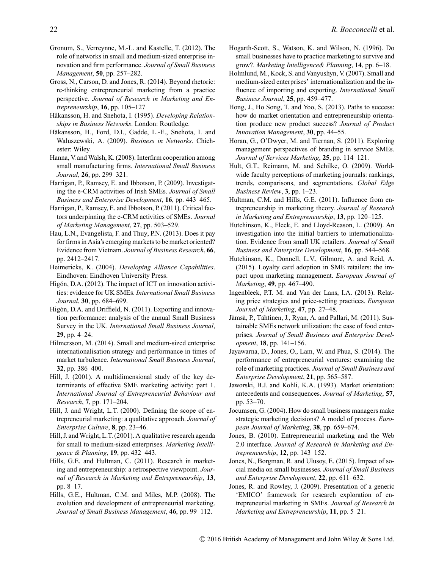- Gronum, S., Verreynne, M.-L. and Kastelle, T. (2012). The role of networks in small and medium-sized enterprise innovation and firm performance. *Journal of Small Business Management*, **50**, pp. 257–282.
- Gross, N., Carson, D. and Jones, R. (2014). Beyond rhetoric: re-thinking entrepreneurial marketing from a practice perspective. *Journal of Research in Marketing and Entrepreneurship*, **16**, pp. 105–127
- Håkansson, H. and Snehota, I. (1995). *Developing Relationships in Business Networks*. London: Routledge.
- Håkansson, H., Ford, D.I., Gadde, L.-E., Snehota, I. and Waluszewski, A. (2009). *Business in Networks*. Chichester: Wiley.
- Hanna, V. and Walsh, K. (2008). Interfirm cooperation among small manufacturing firms. *International Small Business Journal*, **26**, pp. 299–321.
- Harrigan, P., Ramsey, E. and Ibbotson, P. (2009). Investigating the e-CRM activities of Irish SMEs. *Journal of Small Business and Enterprise Development*, **16**, pp. 443–465.

Harrigan, P., Ramsey, E. and Ibbotson, P. (2011). Critical factors underpinning the e-CRM activities of SMEs. *Journal of Marketing Management*, **27**, pp. 503–529.

- Hau, L.N., Evangelista, F. and Thuy, P.N. (2013). Does it pay for firms in Asia's emerging markets to be market oriented? Evidence from Vietnam. *Journal of Business Research*, **66**, pp. 2412–2417.
- Heimericks, K. (2004). *Developing Alliance Capabilities*. Eindhoven: Eindhoven University Press.
- Higón, D.A. (2012). The impact of ICT on innovation activities: evidence for UK SMEs. *International Small Business Journal*, **30**, pp. 684–699.
- Higón, D.A. and Driffield, N. (2011). Exporting and innovation performance: analysis of the annual Small Business Survey in the UK. *International Small Business Journal*, **29**, pp. 4–24.
- Hilmersson, M. (2014). Small and medium-sized enterprise internationalisation strategy and performance in times of market turbulence. *International Small Business Journal*, **32**, pp. 386–400.
- Hill, J. (2001). A multidimensional study of the key determinants of effective SME marketing activity: part 1. *International Journal of Entrepreneurial Behaviour and Research*, **7**, pp. 171–204.
- Hill, J. and Wright, L.T. (2000). Defining the scope of entrepreneurial marketing: a qualitative approach. *Journal of Enterprise Culture*, **8**, pp. 23–46.
- Hill, J. and Wright, L.T. (2001). A qualitative research agenda for small to medium-sized enterprises. *Marketing Intelligence & Planning*, **19**, pp. 432–443.
- Hills, G.E. and Hultman, C. (2011). Research in marketing and entrepreneurship: a retrospective viewpoint. *Journal of Research in Marketing and Entrepreneurship*, **13**, pp. 8–17.
- Hills, G.E., Hultman, C.M. and Miles, M.P. (2008). The evolution and development of entrepreneurial marketing. *Journal of Small Business Management*, **46**, pp. 99–112.
- Hogarth-Scott, S., Watson, K. and Wilson, N. (1996). Do small businesses have to practice marketing to survive and grow?. *Marketing Intelligence& Planning*, **14**, pp. 6–18.
- Holmlund, M., Kock, S. and Vanyushyn, V. (2007). Small and medium-sized enterprises' internationalization and the influence of importing and exporting. *International Small Business Journal*, **25**, pp. 459–477.
- Hong, J., Ho Song, T. and Yoo, S. (2013). Paths to success: how do market orientation and entrepreneurship orientation produce new product success? *Journal of Product Innovation Management*, **30**, pp. 44–55.
- Horan, G., O'Dwyer, M. and Tiernan, S. (2011). Exploring management perspectives of branding in service SMEs. *Journal of Services Marketing*, **25**, pp. 114–121.
- Hult, G.T., Reimann, M. and Schilke, O. (2009). Worldwide faculty perceptions of marketing journals: rankings, trends, comparisons, and segmentations. *Global Edge Business Review*, **3**, pp. 1–23.
- Hultman, C.M. and Hills, G.E. (2011). Influence from entrepreneurship in marketing theory. *Journal of Research in Marketing and Entrepreneurship*, **13**, pp. 120–125.
- Hutchinson, K., Fleck, E. and Lloyd-Reason, L. (2009). An investigation into the initial barriers to internationalization. Evidence from small UK retailers. *Journal of Small Business and Enterprise Development*, **16**, pp. 544–568.
- Hutchinson, K., Donnell, L.V., Gilmore, A. and Reid, A. (2015). Loyalty card adoption in SME retailers: the impact upon marketing management. *European Journal of Marketing*, **49**, pp. 467–490.
- Ingenbleek, P.T. M. and Van der Lans, I.A. (2013). Relating price strategies and price-setting practices. *European Journal of Marketing*, **47**, pp. 27–48.
- Jämsä, P., Tähtinen, J., Ryan, A. and Pallari, M. (2011). Sustainable SMEs network utilization: the case of food enterprises. *Journal of Small Business and Enterprise Development*, **18**, pp. 141–156.
- Jayawarna, D., Jones, O., Lam, W. and Phua, S. (2014). The performance of entrepreneurial ventures: examining the role of marketing practices. *Journal of Small Business and Enterprise Development*, **21**, pp. 565–587.
- Jaworski, B.J. and Kohli, K.A. (1993). Market orientation: antecedents and consequences. *Journal of Marketing*, **57**, pp. 53–70.
- Jocumsen, G. (2004). How do small business managers make strategic marketing decisions? A model of process. *European Journal of Marketing*, **38**, pp. 659–674.
- Jones, B. (2010). Entrepreneurial marketing and the Web 2.0 interface. *Journal of Research in Marketing and Entrepreneurship*, **12**, pp. 143–152.
- Jones, N., Borgman, R. and Ulusoy, E. (2015). Impact of social media on small businesses. *Journal of Small Business and Enterprise Development*, **22**, pp. 611–632.
- Jones, R. and Rowley, J. (2009). Presentation of a generic 'EMICO' framework for research exploration of entrepreneurial marketing in SMEs. *Journal of Research in Marketing and Entrepreneurship*, **11**, pp. 5–21.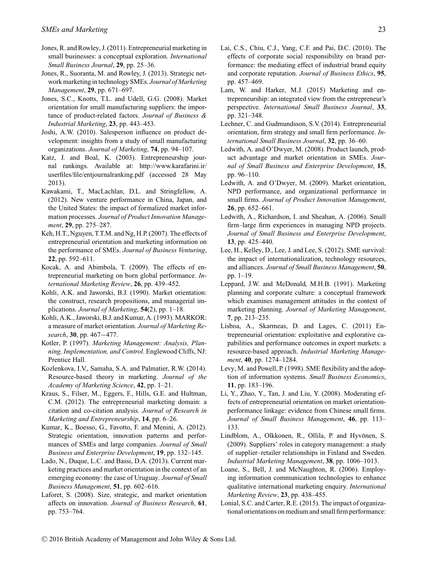- Jones, R. and Rowley, J. (2011). Entrepreneurial marketing in small businesses: a conceptual exploration. *International Small Business Journal*, **29**, pp. 25–36.
- Jones, R., Suoranta, M. and Rowley, J. (2013). Strategic network marketing in technology SMEs. *Journal of Marketing Management*, **29**, pp. 671–697.
- Jones, S.C., Knotts, T.L. and Udell, G.G. (2008). Market orientation for small manufacturing suppliers: the importance of product-related factors. *Journal of Business & Industrial Marketing*, **23**, pp. 443–453.
- Joshi, A.W. (2010). Salesperson influence on product development: insights from a study of small manufacturing organizations. *Journal of Marketing*, **74**, pp. 94–107.
- Katz, J. and Boal, K. (2003). Entrepreneurship journal rankings. Available at: [http://www.karafarini.ir/](http://www.karafarini.ir/userfiles/file/entjournalranking.pdf) [userfiles/file/entjournalranking.pdf](http://www.karafarini.ir/userfiles/file/entjournalranking.pdf) (accessed 28 May 2013).
- Kawakami, T., MacLachlan, D.L. and Stringfellow, A. (2012). New venture performance in China, Japan, and the United States: the impact of formalized market information processes. *Journal of Product Innovation Management*, **29**, pp. 275–287.
- Keh, H.T., Nguyen, T.T.M. and Ng, H.P. (2007). The effects of entrepreneurial orientation and marketing information on the performance of SMEs. *Journal of Business Venturing*, **22**, pp. 592–611.
- Kocak, A. and Abimbola, T. (2009). The effects of entrepreneurial marketing on born global performance. *International Marketing Review*, **26**, pp. 439–452.
- Kohli, A.K. and Jaworski, B.J. (1990). Market orientation: the construct, research propositions, and managerial implications. *Journal of Marketing*, **54**(2), pp. 1–18.
- Kohli, A.K., Jaworski, B.J. and Kumar, A. (1993). MARKOR: a measure of market orientation. *Journal of Marketing Research*, **30**, pp. 467−477.
- Kotler, P. (1997). *Marketing Management: Analysis, Planning, Implementation, and Control*. Englewood Cliffs, NJ: Prentice Hall.
- Kozlenkova, I.V., Samaha, S.A. and Palmatier, R.W. (2014). Resource-based theory in marketing. *Journal of the Academy of Marketing Science*, **42**, pp. 1–21.
- Kraus, S., Filser, M., Eggers, F., Hills, G.E. and Hultman, C.M. (2012). The entrepreneurial marketing domain: a citation and co-citation analysis. *Journal of Research in Marketing and Entrepreneurship*, **14**, pp. 6–26.
- Kumar, K., Boesso, G., Favotto, F. and Menini, A. (2012). Strategic orientation, innovation patterns and performances of SMEs and large companies. *Journal of Small Business and Enterprise Development*, **19**, pp. 132–145.
- Lado, N., Duque, L.C. and Bassi, D.A. (2013). Current marketing practices and market orientation in the context of an emerging economy: the case of Uruguay. *Journal of Small Business Management*, **51**, pp. 602–616.
- Laforet, S. (2008). Size, strategic, and market orientation affects on innovation. *Journal of Business Research*, **61**, pp. 753–764.
- Lai, C.S., Chiu, C.J., Yang, C.F. and Pai, D.C. (2010). The effects of corporate social responsibility on brand performance: the mediating effect of industrial brand equity and corporate reputation. *Journal of Business Ethics*, **95**, pp. 457–469.
- Lam, W. and Harker, M.J. (2015) Marketing and entrepreneurship: an integrated view from the entrepreneur's perspective. *International Small Business Journal*, **33**, pp. 321–348.
- Lechner, C. and Gudmundsson, S.V. (2014). Entrepreneurial orientation, firm strategy and small firm performance. *International Small Business Journal*, **32**, pp. 36–60.
- Ledwith, A. and O'Dwyer, M. (2008). Product launch, product advantage and market orientation in SMEs. *Journal of Small Business and Enterprise Development*, **15**, pp. 96–110.
- Ledwith, A. and O'Dwyer, M. (2009). Market orientation, NPD performance, and organizational performance in small firms. *Journal of Product Innovation Management*, **26**, pp. 652–661.
- Ledwith, A., Richardson, I. and Sheahan, A. (2006). Small firm–large firm experiences in managing NPD projects. *Journal of Small Business and Enterprise Development*, **13**, pp. 425–440.
- Lee, H., Kelley, D., Lee, J. and Lee, S. (2012). SME survival: the impact of internationalization, technology resources, and alliances. *Journal of Small Business Management*, **50**, pp. 1–19.
- Leppard, J.W. and McDonald, M.H.B. (1991). Marketing planning and corporate culture: a conceptual framework which examines management attitudes in the context of marketing planning. *Journal of Marketing Management*, **7**, pp. 213–235.
- Lisboa, A., Skarmeas, D. and Lages, C. (2011) Entrepreneurial orientation: exploitative and explorative capabilities and performance outcomes in export markets: a resource-based approach. *Industrial Marketing Management*, **40**, pp. 1274–1284.
- Levy, M. and Powell, P. (1998). SME flexibility and the adoption of information systems. *Small Business Economics*, **11**, pp. 183–196.
- Li, Y., Zhao, Y., Tan, J. and Liu, Y. (2008). Moderating effects of entrepreneurial orientation on market orientationperformance linkage: evidence from Chinese small firms. *Journal of Small Business Management*, **46**, pp. 113– 133.
- Lindblom, A., Olkkonen, R., Ollila, P. and Hyvönen, S. (2009). Suppliers' roles in category management: a study of supplier–retailer relationships in Finland and Sweden. *Industrial Marketing Management*, **38**, pp. 1006–1013.
- Loane, S., Bell, J. and McNaughton, R. (2006). Employing information communication technologies to enhance qualitative international marketing enquiry. *International Marketing Review*, **23**, pp. 438–455.
- Lonial, S.C. and Carter, R.E. (2015). The impact of organizational orientations on medium and small firm performance: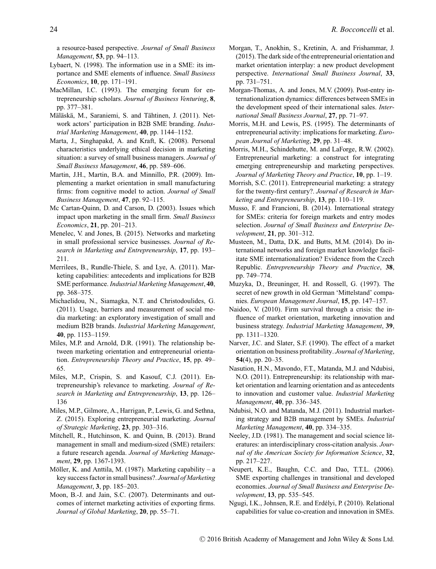a resource-based perspective. *Journal of Small Business Management*, **53**, pp. 94–113.

- Lybaert, N. (1998). The information use in a SME: its importance and SME elements of influence. *Small Business Economics*, **10**, pp. 171–191.
- MacMillan, I.C. (1993). The emerging forum for entrepreneurship scholars. *Journal of Business Venturing*, **8**, pp. 377–381.
- Mäläskä, M., Saraniemi, S. and Tähtinen, J. (2011). Network actors' participation in B2B SME branding. *Industrial Marketing Management*, **40**, pp. 1144–1152.
- Marta, J., Singhapakd, A. and Kraft, K. (2008). Personal characteristics underlying ethical decision in marketing situation: a survey of small business managers. *Journal of Small Business Management*, **46**, pp. 589–606.
- Martin, J.H., Martin, B.A. and Minnillo, P.R. (2009). Implementing a market orientation in small manufacturing firms: from cognitive model to action. *Journal of Small Business Management*, **47**, pp. 92–115.
- Mc Cartan-Quinn, D. and Carson, D. (2003). Issues which impact upon marketing in the small firm. *Small Business Economics*, **21**, pp. 201–213.
- Menelec, V. and Jones, B. (2015). Networks and marketing in small professional service businesses. *Journal of Research in Marketing and Entrepreneurship*, **17**, pp. 193– 211.
- Merrilees, B., Rundle-Thiele, S. and Lye, A. (2011). Marketing capabilities: antecedents and implications for B2B SME performance. *Industrial Marketing Management*, **40**, pp. 368–375.
- Michaelidou, N., Siamagka, N.T. and Christodoulides, G. (2011). Usage, barriers and measurement of social media marketing: an exploratory investigation of small and medium B2B brands. *Industrial Marketing Management*, **40**, pp. 1153–1159.
- Miles, M.P. and Arnold, D.R. (1991). The relationship between marketing orientation and entrepreneurial orientation. *Entrepreneurship Theory and Practice*, **15**, pp. 49– 65.
- Miles, M.P., Crispin, S. and Kasouf, C.J. (2011). Entrepreneurship's relevance to marketing. *Journal of Research in Marketing and Entrepreneurship*, **13**, pp. 126– 136
- Miles, M.P., Gilmore, A., Harrigan, P., Lewis, G. and Sethna, Z. (2015). Exploring entrepreneurial marketing. *Journal of Strategic Marketing*, **23**, pp. 303–316.
- Mitchell, R., Hutchinson, K. and Quinn, B. (2013). Brand management in small and medium-sized (SME) retailers: a future research agenda. *Journal of Marketing Management*, **29**, pp. 1367-1393.
- Möller, K. and Anttila, M. (1987). Marketing capability a key success factor in small business?. *Journal of Marketing Management*, **3**, pp. 185–203.
- Moon, B.-J. and Jain, S.C. (2007). Determinants and outcomes of internet marketing activities of exporting firms. *Journal of Global Marketing*, **20**, pp. 55–71.
- Morgan, T., Anokhin, S., Kretinin, A. and Frishammar, J. (2015). The dark side of the entrepreneurial orientation and market orientation interplay: a new product development perspective. *International Small Business Journal*, **33**, pp. 731–751.
- Morgan-Thomas, A. and Jones, M.V. (2009). Post-entry internationalization dynamics: differences between SMEs in the development speed of their international sales. *International Small Business Journal*, **27**, pp. 71–97.
- Morris, M.H. and Lewis, P.S. (1995). The determinants of entrepreneurial activity: implications for marketing. *European Journal of Marketing*, **29**, pp. 31–48.
- Morris, M.H., Schindehutte, M. and LaForge, R.W. (2002). Entrepreneurial marketing: a construct for integrating emerging entrepreneurship and marketing perspectives. *Journal of Marketing Theory and Practice*, **10**, pp. 1–19.
- Morrish, S.C. (2011). Entrepreneurial marketing: a strategy for the twenty-first century?. *Journal of Research in Marketing and Entrepreneurship*, **13**, pp. 110–119.
- Musso, F. and Francioni, B. (2014). International strategy for SMEs: criteria for foreign markets and entry modes selection. *Journal of Small Business and Enterprise Development*, **21**, pp. 301–312.
- Musteen, M., Datta, D.K. and Butts, M.M. (2014). Do international networks and foreign market knowledge facilitate SME internationalization? Evidence from the Czech Republic. *Entrepreneurship Theory and Practice*, **38**, pp. 749–774.
- Muzyka, D., Breuninger, H. and Rossell, G. (1997). The secret of new growth in old German 'Mittelstand' companies. *European Management Journal*, **15**, pp. 147–157.
- Naidoo, V. (2010). Firm survival through a crisis: the influence of market orientation, marketing innovation and business strategy. *Industrial Marketing Management*, **39**, pp. 1311–1320.
- Narver, J.C. and Slater, S.F. (1990). The effect of a market orientation on business profitability. *Journal of Marketing*, **54**(4), pp. 20–35.
- Nasution, H.N., Mavondo, F.T., Matanda, M.J. and Ndubisi, N.O. (2011). Entrepreneurship: its relationship with market orientation and learning orientation and as antecedents to innovation and customer value. *Industrial Marketing Management*, **40**, pp. 336–345.
- Ndubisi, N.O. and Matanda, M.J. (2011). Industrial marketing strategy and B2B management by SMEs. *Industrial Marketing Management*, **40**, pp. 334–335.
- Neeley, J.D. (1981). The management and social science literatures: an interdisciplinary cross-citation analysis. *Journal of the American Society for Information Science*, **32**, pp. 217–227.
- Neupert, K.E., Baughn, C.C. and Dao, T.T.L. (2006). SME exporting challenges in transitional and developed economies. *Journal of Small Business and Enterprise Development*, **13**, pp. 535–545.
- Ngugi, I.K., Johnsen, R.E. and Erdelyi, P. (2010). Relational ´ capabilities for value co-creation and innovation in SMEs.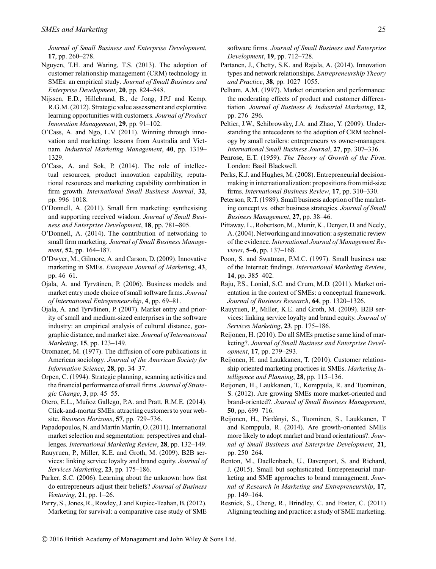*Journal of Small Business and Enterprise Development*, **17**, pp. 260–278.

- Nguyen, T.H. and Waring, T.S. (2013). The adoption of customer relationship management (CRM) technology in SMEs: an empirical study. *Journal of Small Business and Enterprise Development*, **20**, pp. 824–848.
- Nijssen, E.D., Hillebrand, B., de Jong, J.P.J and Kemp, R.G.M. (2012). Strategic value assessment and explorative learning opportunities with customers. *Journal of Product Innovation Management*, **29**, pp. 91–102.
- O'Cass, A. and Ngo, L.V. (2011). Winning through innovation and marketing: lessons from Australia and Vietnam. *Industrial Marketing Management*, **40**, pp. 1319– 1329.
- O'Cass, A. and Sok, P. (2014). The role of intellectual resources, product innovation capability, reputational resources and marketing capability combination in firm growth. *International Small Business Journal*, **32**, pp. 996–1018.
- O'Donnell, A. (2011). Small firm marketing: synthesising and supporting received wisdom. *Journal of Small Business and Enterprise Development*, **18**, pp. 781–805.
- O'Donnell, A. (2014). The contribution of networking to small firm marketing. *Journal of Small Business Management*, **52**, pp. 164–187.
- O'Dwyer, M., Gilmore, A. and Carson, D. (2009). Innovative marketing in SMEs. *European Journal of Marketing*, **43**, pp. 46–61.
- Ojala, A. and Tyrvainen, P. (2006). Business models and ¨ market entry mode choice of small software firms. *Journal of International Entrepreneurship*, **4**, pp. 69–81.
- Ojala, A. and Tyrväinen, P. (2007). Market entry and priority of small and medium-sized enterprises in the software industry: an empirical analysis of cultural distance, geographic distance, and market size. *Journal of International Marketing*, **15**, pp. 123–149.
- Oromaner, M. (1977). The diffusion of core publications in American sociology. *Journal of the American Society for Information Science*, **28**, pp. 34–37.
- Orpen, C. (1994). Strategic planning, scanning activities and the financial performance of small firms. *Journal of Strategic Change*, **3**, pp. 45–55.
- Otero, E.L., Muñoz Gallego, P.A. and Pratt, R.M.E. (2014). Click-and-mortar SMEs: attracting customers to your website. *Business Horizons*, **57**, pp. 729–736.
- Papadopoulos, N. and Martín Martín, O. (2011). International market selection and segmentation: perspectives and challenges. *International Marketing Review*, **28**, pp. 132–149.
- Rauyruen, P., Miller, K.E. and Groth, M. (2009). B2B services: linking service loyalty and brand equity. *Journal of Services Marketing*, **23**, pp. 175–186.
- Parker, S.C. (2006). Learning about the unknown: how fast do entrepreneurs adjust their beliefs? *Journal of Business Venturing*, **21**, pp. 1–26.
- Parry, S., Jones, R., Rowley, J. and Kupiec-Teahan, B. (2012). Marketing for survival: a comparative case study of SME

software firms. *Journal of Small Business and Enterprise Development*, **19**, pp. 712–728.

- Partanen, J., Chetty, S.K. and Rajala, A. (2014). Innovation types and network relationships. *Entrepreneurship Theory and Practice*, **38**, pp. 1027–1055.
- Pelham, A.M. (1997). Market orientation and performance: the moderating effects of product and customer differentiation. *Journal of Business & Industrial Marketing*, **12**, pp. 276–296.
- Peltier, J.W., Schibrowsky, J.A. and Zhao, Y. (2009). Understanding the antecedents to the adoption of CRM technology by small retailers: entrepreneurs vs owner-managers. *International Small Business Journal*, **27**, pp. 307–336.
- Penrose, E.T. (1959). *The Theory of Growth of the Firm*. London: Basil Blackwell.
- Perks, K.J. and Hughes, M. (2008). Entrepreneurial decisionmaking in internationalization: propositions from mid-size firms. *International Business Review*, **17**, pp. 310–330.
- Peterson, R.T. (1989). Small business adoption of the marketing concept vs. other business strategies. *Journal of Small Business Management*, **27**, pp. 38–46.
- Pittaway, L., Robertson, M., Munir, K., Denyer, D. and Neely, A. (2004). Networking and innovation: a systematic review of the evidence. *International Journal of Management Reviews*, **5–6**, pp. 137–168.
- Poon, S. and Swatman, P.M.C. (1997). Small business use of the Internet: findings. *International Marketing Review*, **14**, pp. 385–402.
- Raju, P.S., Lonial, S.C. and Crum, M.D. (2011). Market orientation in the context of SMEs: a conceptual framework. *Journal of Business Research*, **64**, pp. 1320–1326.
- Rauyruen, P., Miller, K.E. and Groth, M. (2009). B2B services: linking service loyalty and brand equity. *Journal of Services Marketing*, **23**, pp. 175–186.
- Reijonen, H. (2010). Do all SMEs practise same kind of marketing?. *Journal of Small Business and Enterprise Development*, **17**, pp. 279–293.
- Reijonen, H. and Laukkanen, T. (2010). Customer relationship oriented marketing practices in SMEs. *Marketing Intelligence and Planning*, **28**, pp. 115–136.
- Reijonen, H., Laukkanen, T., Komppula, R. and Tuominen, S. (2012). Are growing SMEs more market-oriented and brand-oriented?. *Journal of Small Business Management*, **50**, pp. 699–716.
- Reijonen, H., Párdányi, S., Tuominen, S., Laukkanen, T and Komppula, R. (2014). Are growth-oriented SMEs more likely to adopt market and brand orientations?. *Journal of Small Business and Enterprise Development*, **21**, pp. 250–264.
- Renton, M., Daellenbach, U., Davenport, S. and Richard, J. (2015). Small but sophisticated. Entrepreneurial marketing and SME approaches to brand management. *Journal of Research in Marketing and Entrepreneurship*, **17**, pp. 149–164.
- Resnick, S., Cheng, R., Brindley, C. and Foster, C. (2011) Aligning teaching and practice: a study of SME marketing.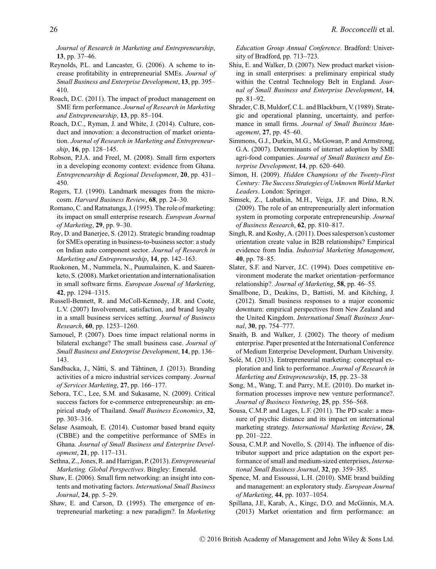*Journal of Research in Marketing and Entrepreneurship*, **13**, pp. 37–46.

- Reynolds, P.L. and Lancaster, G. (2006). A scheme to increase profitability in entrepreneurial SMEs. *Journal of Small Business and Enterprise Development*, **13**, pp. 395– 410.
- Roach, D.C. (2011). The impact of product management on SME firm performance. *Journal of Research in Marketing and Entrepreneurship*, **13**, pp. 85–104.
- Roach, D.C., Ryman, J. and White, J. (2014). Culture, conduct and innovation: a deconstruction of market orientation. *Journal of Research in Marketing and Entrepreneurship*, **16**, pp. 128–145.
- Robson, P.J.A. and Freel, M. (2008). Small firm exporters in a developing economy context: evidence from Ghana. *Entrepreneurship & Regional Development*, **20**, pp. 431– 450.
- Rogers, T.J. (1990). Landmark messages from the microcosm. *Harvard Business Review*, **68**, pp. 24–30.
- Romano, C. and Ratnatunga, J. (1995). The role of marketing: its impact on small enterprise research. *European Journal of Marketing*, **29**, pp. 9–30.
- Roy, D. and Banerjee, S. (2012). Strategic branding roadmap for SMEs operating in business-to-business sector: a study on Indian auto component sector. *Journal of Research in Marketing and Entrepreneurship*, **14**, pp. 142–163.
- Ruokonen, M., Nummela, N., Puumalainen, K. and Saarenketo, S. (2008). Market orientation and internationalisation in small software firms. *European Journal of Marketing*, **42**, pp. 1294–1315.
- Russell-Bennett, R. and McColl-Kennedy, J.R. and Coote, L.V. (2007) Involvement, satisfaction, and brand loyalty in a small business services setting. *Journal of Business Research*, **60**, pp. 1253–1260.
- Samouel, P. (2007). Does time impact relational norms in bilateral exchange? The small business case. *Journal of Small Business and Enterprise Development*, **14**, pp. 136– 143.
- Sandbacka, J., Nätti, S. and Tähtinen, J. (2013). Branding activities of a micro industrial services company. *Journal of Services Marketing*, **27**, pp. 166–177.
- Sebora, T.C., Lee, S.M. and Sukasame, N. (2009). Critical success factors for e-commerce entrepreneurship: an empirical study of Thailand. *Small Business Economics*, **32**, pp. 303–316.
- Selase Asamoah, E. (2014). Customer based brand equity (CBBE) and the competitive performance of SMEs in Ghana. *Journal of Small Business and Enterprise Development*, **21**, pp. 117–131.
- Sethna, Z., Jones, R. and Harrigan, P. (2013). *Entrepreneurial Marketing. Global Perspectives*. Bingley: Emerald.
- Shaw, E. (2006). Small firm networking: an insight into contents and motivating factors. *International Small Business Journal*, **24**, pp. 5–29.
- Shaw, E. and Carson, D. (1995). The emergence of entrepreneurial marketing: a new paradigm?. In *Marketing*

*Education Group Annual Conference*. Bradford: University of Bradford, pp. 713–723.

- Shiu, E. and Walker, D. (2007). New product market visioning in small enterprises: a preliminary empirical study within the Central Technology Belt in England. *Journal of Small Business and Enterprise Development*, **14**, pp. 81–92.
- Shrader, C.B, Muldorf, C.L. and Blackburn, V. (1989). Strategic and operational planning, uncertainty, and performance in small firms. *Journal of Small Business Management*, **27**, pp. 45–60.
- Simmons, G.J., Durkin, M.G., McGowan, P. and Armstrong, G.A. (2007). Determinants of internet adoption by SME agri-food companies. *Journal of Small Business and Enterprise Development*, **14**, pp. 620–640.
- Simon, H. (2009). *Hidden Champions of the Twenty-First Century: The Success Strategies of Unknown World Market Leaders*. London: Springer.
- Simsek, Z., Lubatkin, M.H., Veiga, J.F. and Dino, R.N. (2009). The role of an entrepreneurially alert information system in promoting corporate entrepreneurship. *Journal of Business Research*, **62**, pp. 810–817.
- Singh, R. and Koshy, A. (2011). Does salesperson's customer orientation create value in B2B relationships? Empirical evidence from India. *Industrial Marketing Management*, **40**, pp. 78–85.
- Slater, S.F. and Narver, J.C. (1994). Does competitive environment moderate the market orientation–performance relationship?. *Journal of Marketing*, **58**, pp. 46–55.
- Smallbone, D., Deakins, D., Battisti, M. and Kitching, J. (2012). Small business responses to a major economic downturn: empirical perspectives from New Zealand and the United Kingdom. *International Small Business Journal*, **30**, pp. 754–777.
- Snaith, B. and Walker, J. (2002). The theory of medium enterprise. Paper presented at the International Conference of Medium Enterprise Development, Durham University.
- Solé, M. (2013). Entrepreneurial marketing: conceptual exploration and link to performance. *Journal of Research in Marketing and Entrepreneurship*, **15**, pp. 23–38
- Song, M., Wang, T. and Parry, M.E. (2010). Do market information processes improve new venture performance?. *Journal of Business Venturing*, **25**, pp. 556–568.
- Sousa, C.M.P. and Lages, L.F. (2011). The PD scale: a measure of psychic distance and its impact on international marketing strategy. *International Marketing Review*, **28**, pp. 201–222.
- Sousa, C.M.P. and Novello, S. (2014). The influence of distributor support and price adaptation on the export performance of small and medium-sized enterprises, *International Small Business Journal*, **32**, pp. 359–385.
- Spence, M. and Essoussi, L.H. (2010). SME brand building and management: an exploratory study. *European Journal of Marketing*, **44**, pp. 1037–1054.
- Spillana, J.E, Karab, A., Kingc, D.O. and McGinnis, M.A. (2013) Market orientation and firm performance: an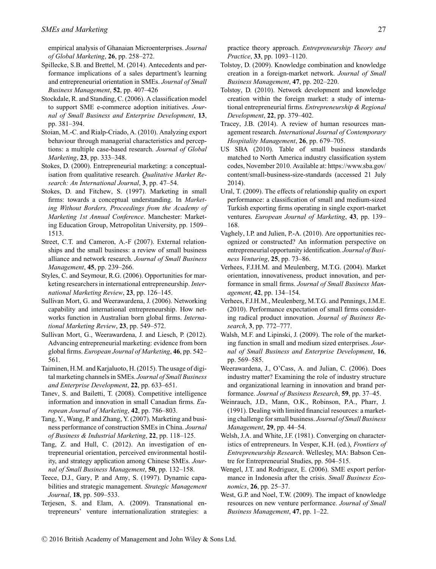empirical analysis of Ghanaian Microenterprises. *Journal of Global Marketing*, **26**, pp. 258–272.

- Spillecke, S.B. and Brettel, M. (2014). Antecedents and performance implications of a sales department's learning and entrepreneurial orientation in SMEs. *Journal of Small Business Management*, **52**, pp. 407–426
- Stockdale, R. and Standing, C. (2006). A classification model to support SME e-commerce adoption initiatives. *Journal of Small Business and Enterprise Development*, **13**, pp. 381–394.
- Stoian, M.-C. and Rialp-Criado, A. (2010). Analyzing export behaviour through managerial characteristics and perceptions: a multiple case-based research. *Journal of Global Marketing*, **23**, pp. 333–348.
- Stokes, D. (2000). Entrepreneurial marketing: a conceptualisation from qualitative research. *Qualitative Market Research: An International Journal*, **3**, pp. 47–54.
- Stokes, D. and Fitchew, S. (1997). Marketing in small firms: towards a conceptual understanding. In *Marketing Without Borders, Proceedings from the Academy of Marketing 1st Annual Conference*. Manchester: Marketing Education Group, Metropolitan University, pp. 1509– 1513.
- Street, C.T. and Cameron, A.-F (2007). External relationships and the small business: a review of small business alliance and network research. *Journal of Small Business Management*, **45**, pp. 239–266.
- Styles, C. and Seymour, R.G. (2006). Opportunities for marketing researchers in international entrepreneurship. *International Marketing Review*, **23**, pp. 126–145.
- Sullivan Mort, G. and Weerawardena, J. (2006). Networking capability and international entrepreneurship. How networks function in Australian born global firms. *International Marketing Review*, **23**, pp. 549–572.
- Sullivan Mort, G., Weerawardena, J. and Liesch, P. (2012). Advancing entrepreneurial marketing: evidence from born global firms. *European Journal of Marketing*, **46**, pp. 542– 561.
- Taiminen, H.M. and Karjaluoto, H. (2015). The usage of digital marketing channels in SMEs. *Journal of Small Business and Enterprise Development*, **22**, pp. 633–651.
- Tanev, S. and Bailetti, T. (2008). Competitive intelligence information and innovation in small Canadian firms. *European Journal of Marketing*, **42**, pp. 786–803.

Tang, Y., Wang, P. and Zhang, Y. (2007). Marketing and business performance of construction SMEs in China. *Journal of Business & Industrial Marketing*, **22**, pp. 118–125.

Tang, Z. and Hull, C. (2012). An investigation of entrepreneurial orientation, perceived environmental hostility, and strategy application among Chinese SMEs. *Journal of Small Business Management*, **50**, pp. 132–158.

Teece, D.J., Gary, P. and Amy, S. (1997). Dynamic capabilities and strategic management. *Strategic Management Journal*, **18**, pp. 509–533.

Terjesen, S. and Elam, A. (2009). Transnational entrepreneurs' venture internationalization strategies: a practice theory approach. *Entrepreneurship Theory and Practice*, **33**, pp. 1093–1120.

- Tolstoy, D. (2009). Knowledge combination and knowledge creation in a foreign-market network. *Journal of Small Business Management*, **47**, pp. 202–220.
- Tolstoy, D. (2010). Network development and knowledge creation within the foreign market: a study of international entrepreneurial firms. *Entrepreneurship & Regional Development*, **22**, pp. 379–402.
- Tracey, J.B. (2014). A review of human resources management research. *International Journal of Contemporary Hospitality Management*, **26**, pp. 679–705.
- US SBA (2010). Table of small business standards matched to North America industry classification system codes, November 2010. Available at: [https://www.sba.gov/](https://www.sba.gov/content/small-business-size-standards) [content/small-business-size-standards](https://www.sba.gov/content/small-business-size-standards) (accessed 21 July 2014).
- Ural, T. (2009). The effects of relationship quality on export performance: a classification of small and medium-sized Turkish exporting firms operating in single export-market ventures. *European Journal of Marketing*, **43**, pp. 139– 168.
- Vaghely, I.P. and Julien, P.-A. (2010). Are opportunities recognized or constructed? An information perspective on entrepreneurial opportunity identification. *Journal of Business Venturing*, **25**, pp. 73–86.
- Verhees, F.J.H.M. and Meulenberg, M.T.G. (2004). Market orientation, innovativeness, product innovation, and performance in small firms. *Journal of Small Business Management*, **42**, pp. 134–154.
- Verhees, F.J.H.M., Meulenberg, M.T.G. and Pennings, J.M.E. (2010). Performance expectation of small firms considering radical product innovation. *Journal of Business Research*, **3**, pp. 772–777.
- Walsh, M.F. and Lipinski, J. (2009). The role of the marketing function in small and medium sized enterprises. *Journal of Small Business and Enterprise Development*, **16**, pp. 569–585.
- Weerawardena, J., O'Cass, A. and Julian, C. (2006). Does industry matter? Examining the role of industry structure and organizational learning in innovation and brand performance. *Journal of Business Research*, **59**, pp. 37–45.
- Weinrauch, J.D., Mann, O.K., Robinson, P.A., Pharr, J. (1991). Dealing with limited financial resources: a marketing challenge for small business. *Journal of Small Business Management*, **29**, pp. 44–54.

Welsh, J.A. and White, J.F. (1981). Converging on characteristics of entrepreneurs. In Vesper, K.H. (ed.), *Frontiers of Entrepreneurship Research*. Wellesley, MA: Babson Centre for Entrepreneurial Studies, pp. 504–515.

- Wengel, J.T. and Rodriguez, E. (2006). SME export performance in Indonesia after the crisis. *Small Business Economics*, **26**, pp. 25–37.
- West, G.P. and Noel, T.W. (2009). The impact of knowledge resources on new venture performance. *Journal of Small Business Management*, **47**, pp. 1–22.